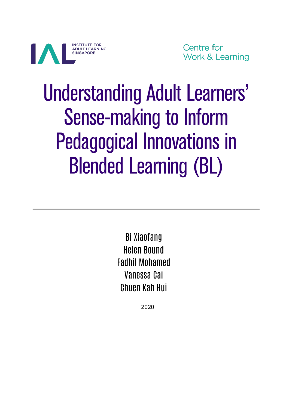

Centre for **Work & Learning** 

# Understanding Adult Learners' Sense-making to Inform Pedagogical Innovations in Blended Learning (BL)

Bi Xiaofang Helen Bound Fadhil Mohamed Vanessa Cai Chuen Kah Hui

2020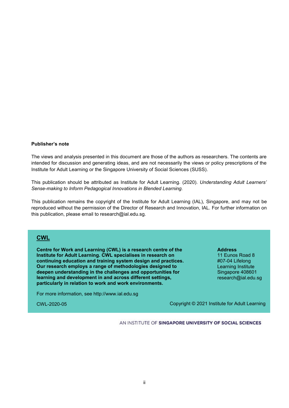#### **Publisher's note**

The views and analysis presented in this document are those of the authors as researchers. The contents are intended for discussion and generating ideas, and are not necessarily the views or policy prescriptions of the Institute for Adult Learning or the Singapore University of Social Sciences (SUSS).

This publication should be attributed as Institute for Adult Learning. (2020). *Understanding Adult Learners' Sense-making to Inform Pedagogical Innovations in Blended Learning.* 

This publication remains the copyright of the Institute for Adult Learning (IAL), Singapore, and may not be reproduced without the permission of the Director of Research and Innovation, IAL. For further information on this publication, please email to research@ial.edu.sg.

#### **CWL**

**Centre for Work and Learning (CWL) is a research centre of the Institute for Adult Learning. CWL specialises in research on continuing education and training system design and practices. Our research employs a range of methodologies designed to deepen understanding in the challenges and opportunities for learning and development in and across different settings, particularly in relation to work and work environments.**

**Address** 11 Eunos Road 8 #07-04 Lifelong Learning Institute Singapore 408601 research@ial.edu.sg

For more information, see [http://www.ial.edu.sg](http://www.ial.edu.sg/)

CWL-2020-05

Copyright © 2021 Institute for Adult Learning

AN INSTITUTE OF SINGAPORE UNIVERSITY OF SOCIAL SCIENCES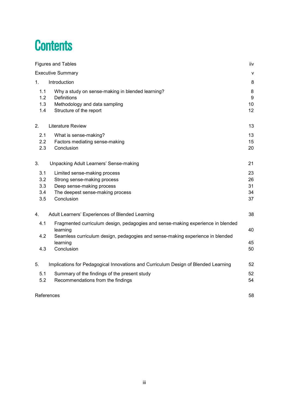# **Contents**

|                                 | <b>Figures and Tables</b>                                                                                                                                                                              |                            |  |  |  |
|---------------------------------|--------------------------------------------------------------------------------------------------------------------------------------------------------------------------------------------------------|----------------------------|--|--|--|
|                                 | <b>Executive Summary</b>                                                                                                                                                                               | $\mathsf{v}$               |  |  |  |
| 1.                              | Introduction                                                                                                                                                                                           | 8                          |  |  |  |
| 1.1<br>1.2<br>1.3<br>1.4        | Why a study on sense-making in blended learning?<br><b>Definitions</b><br>Methodology and data sampling<br>Structure of the report                                                                     | 8<br>9<br>10<br>12         |  |  |  |
| 2.                              | Literature Review                                                                                                                                                                                      | 13                         |  |  |  |
| 2.1<br>2.2<br>2.3               | What is sense-making?<br>Factors mediating sense-making<br>Conclusion                                                                                                                                  | 13<br>15<br>20             |  |  |  |
| 3.                              | Unpacking Adult Learners' Sense-making                                                                                                                                                                 | 21                         |  |  |  |
| 3.1<br>3.2<br>3.3<br>3.4<br>3.5 | Limited sense-making process<br>Strong sense-making process<br>Deep sense-making process<br>The deepest sense-making process<br>Conclusion                                                             | 23<br>26<br>31<br>34<br>37 |  |  |  |
| 4.                              | Adult Learners' Experiences of Blended Learning                                                                                                                                                        | 38                         |  |  |  |
| 4.1<br>4.2<br>4.3               | Fragmented curriculum design, pedagogies and sense-making experience in blended<br>learning<br>Seamless curriculum design, pedagogies and sense-making experience in blended<br>learning<br>Conclusion | 40<br>45<br>50             |  |  |  |
| 5.                              | Implications for Pedagogical Innovations and Curriculum Design of Blended Learning                                                                                                                     | 52                         |  |  |  |
| 5.1<br>5.2                      | Summary of the findings of the present study<br>Recommendations from the findings                                                                                                                      | 52<br>54                   |  |  |  |
|                                 | References                                                                                                                                                                                             | 58                         |  |  |  |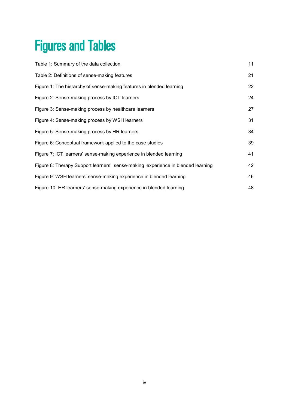# <span id="page-3-0"></span>Figures and Tables

| Table 1: Summary of the data collection                                         | 11 |
|---------------------------------------------------------------------------------|----|
| Table 2: Definitions of sense-making features                                   | 21 |
| Figure 1: The hierarchy of sense-making features in blended learning            | 22 |
| Figure 2: Sense-making process by ICT learners                                  | 24 |
| Figure 3: Sense-making process by healthcare learners                           | 27 |
| Figure 4: Sense-making process by WSH learners                                  | 31 |
| Figure 5: Sense-making process by HR learners                                   | 34 |
| Figure 6: Conceptual framework applied to the case studies                      | 39 |
| Figure 7: ICT learners' sense-making experience in blended learning             | 41 |
| Figure 8: Therapy Support learners' sense-making experience in blended learning | 42 |
| Figure 9: WSH learners' sense-making experience in blended learning             | 46 |
| Figure 10: HR learners' sense-making experience in blended learning             | 48 |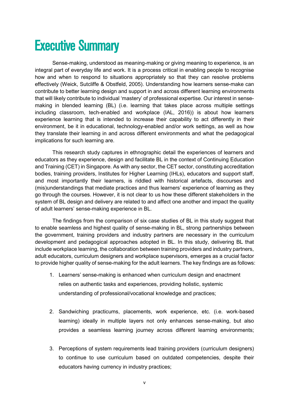# <span id="page-4-0"></span>Executive Summary

Sense-making, understood as meaning-making or giving meaning to experience, is an integral part of everyday life and work. It is a process critical in enabling people to recognise how and when to respond to situations appropriately so that they can resolve problems effectively (Weick, Sutcliffe & Obstfeld, 2005). Understanding how learners sense-make can contribute to better learning design and support in and across different learning environments that will likely contribute to individual 'mastery' of professional expertise. Our interest in sensemaking in blended learning (BL) (i.e. learning that takes place across multiple settings including classroom, tech-enabled and workplace (IAL, 2016)) is about how learners experience learning that is intended to increase their capability to act differently in their environment, be it in educational, technology-enabled and/or work settings, as well as how they translate their learning in and across different environments and what the pedagogical implications for such learning are.

This research study captures in ethnographic detail the experiences of learners and educators as they experience, design and facilitate BL in the context of Continuing Education and Training (CET) in Singapore. As with any sector, the CET sector, constituting accreditation bodies, training providers, Institutes for Higher Learning (IHLs), educators and support staff, and most importantly their learners, is riddled with historical artefacts, discourses and (mis)understandings that mediate practices and thus learners' experience of learning as they go through the courses. However, it is not clear to us how these different stakeholders in the system of BL design and delivery are related to and affect one another and impact the quality of adult learners' sense-making experience in BL.

The findings from the comparison of six case studies of BL in this study suggest that to enable seamless and highest quality of sense-making in BL, strong partnerships between the government, training providers and industry partners are necessary in the curriculum development and pedagogical approaches adopted in BL. In this study, delivering BL that include workplace learning, the collaboration between training providers and industry partners, adult educators, curriculum designers and workplace supervisors, emerges as a crucial factor to provide higher quality of sense-making for the adult learners. The key findings are as follows:

- 1. Learners' sense-making is enhanced when curriculum design and enactment relies on authentic tasks and experiences, providing holistic, systemic understanding of professional/vocational knowledge and practices;
- 2. Sandwiching practicums, placements, work experience, etc. (i.e. work-based learning) ideally in multiple layers not only enhances sense-making, but also provides a seamless learning journey across different learning environments;
- 3. Perceptions of system requirements lead training providers (curriculum designers) to continue to use curriculum based on outdated competencies, despite their educators having currency in industry practices;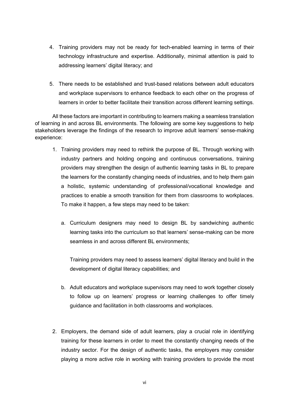- 4. Training providers may not be ready for tech-enabled learning in terms of their technology infrastructure and expertise. Additionally, minimal attention is paid to addressing learners' digital literacy; and
- 5. There needs to be established and trust-based relations between adult educators and workplace supervisors to enhance feedback to each other on the progress of learners in order to better facilitate their transition across different learning settings.

All these factors are important in contributing to learners making a seamless translation of learning in and across BL environments. The following are some key suggestions to help stakeholders leverage the findings of the research to improve adult learners' sense-making experience:

- 1. Training providers may need to rethink the purpose of BL. Through working with industry partners and holding ongoing and continuous conversations, training providers may strengthen the design of authentic learning tasks in BL to prepare the learners for the constantly changing needs of industries, and to help them gain a holistic, systemic understanding of professional/vocational knowledge and practices to enable a smooth transition for them from classrooms to workplaces. To make it happen, a few steps may need to be taken:
	- a. Curriculum designers may need to design BL by sandwiching authentic learning tasks into the curriculum so that learners' sense-making can be more seamless in and across different BL environments;

Training providers may need to assess learners' digital literacy and build in the development of digital literacy capabilities; and

- b. Adult educators and workplace supervisors may need to work together closely to follow up on learners' progress or learning challenges to offer timely guidance and facilitation in both classrooms and workplaces.
- 2. Employers, the demand side of adult learners, play a crucial role in identifying training for these learners in order to meet the constantly changing needs of the industry sector. For the design of authentic tasks, the employers may consider playing a more active role in working with training providers to provide the most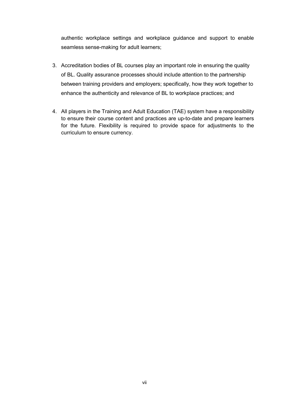authentic workplace settings and workplace guidance and support to enable seamless sense-making for adult learners;

- 3. Accreditation bodies of BL courses play an important role in ensuring the quality of BL. Quality assurance processes should include attention to the partnership between training providers and employers; specifically, how they work together to enhance the authenticity and relevance of BL to workplace practices; and
- 4. All players in the Training and Adult Education (TAE) system have a responsibility to ensure their course content and practices are up-to-date and prepare learners for the future. Flexibility is required to provide space for adjustments to the curriculum to ensure currency.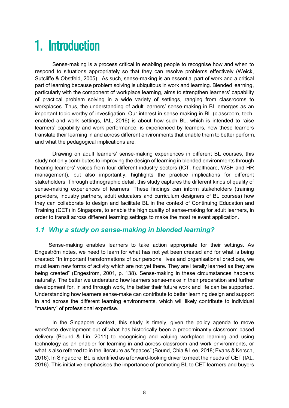# <span id="page-7-0"></span>1. Introduction

Sense-making is a process critical in enabling people to recognise how and when to respond to situations appropriately so that they can resolve problems effectively (Weick, Sutcliffe & Obstfeld, 2005). As such, sense-making is an essential part of work and a critical part of learning because problem solving is ubiquitous in work and learning. Blended learning, particularly with the component of workplace learning, aims to strengthen learners' capability of practical problem solving in a wide variety of settings, ranging from classrooms to workplaces. Thus, the understanding of adult learners' sense-making in BL emerges as an important topic worthy of investigation. Our interest in sense-making in BL (classroom, techenabled and work settings, IAL, 2016) is about how such BL, which is intended to raise learners' capability and work performance, is experienced by learners, how these learners translate their learning in and across different environments that enable them to better perform, and what the pedagogical implications are.

Drawing on adult learners' sense-making experiences in different BL courses, this study not only contributes to improving the design of learning in blended environments through hearing learners' voices from four different industry sectors (ICT, healthcare, WSH and HR management), but also importantly, highlights the practice implications for different stakeholders. Through ethnographic detail, this study captures the different kinds of quality of sense-making experiences of learners. These findings can inform stakeholders (training providers, industry partners, adult educators and curriculum designers of BL courses) how they can collaborate to design and facilitate BL in the context of Continuing Education and Training (CET) in Singapore, to enable the high quality of sense-making for adult learners, in order to transit across different learning settings to make the most relevant application.

# <span id="page-7-1"></span>*1.1 Why a study on sense-making in blended learning?*

Sense-making enables learners to take action appropriate for their settings. As Engeström notes, we need to learn for what has not yet been created and for what is being created: "In important transformations of our personal lives and organisational practices, we must learn new forms of activity which are not yet there. They are literally learned as they are being created" (Engeström, 2001, p. 138). Sense-making in these circumstances happens naturally. The better we understand how learners sense-make in their preparation and further development for, in and through work, the better their future work and life can be supported. Understanding how learners sense-make can contribute to better learning design and support in and across the different learning environments, which will likely contribute to individual "mastery" of professional expertise.

In the Singapore context, this study is timely, given the policy agenda to move workforce development out of what has historically been a predominantly classroom-based delivery (Bound & Lin, 2011) to recognising and valuing workplace learning and using technology as an enabler for learning in and across classroom and work environments, or what is also referred to in the literature as "spaces" (Bound, Chia & Lee, 2018; Evans & Kersch, 2016). In Singapore, BL is identified as a forward-looking driver to meet the needs of CET (IAL, 2016). This initiative emphasises the importance of promoting BL to CET learners and buyers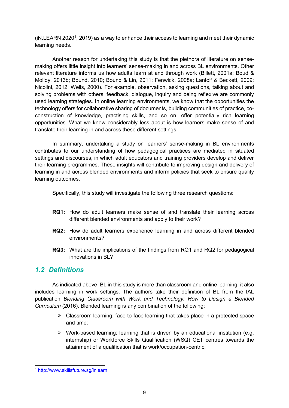(iN.LEARN 2020<sup>1</sup>, 2[01](#page-8-1)9) as a way to enhance their access to learning and meet their dynamic learning needs.

Another reason for undertaking this study is that the plethora of literature on sensemaking offers little insight into learners' sense-making in and across BL environments. Other relevant literature informs us how adults learn at and through work (Billett, 2001a; Boud & Molloy, 2013b; Bound, 2010; Bound & Lin, 2011; Fenwick, 2008a; Lantolf & Beckett, 2009; Nicolini, 2012; Wells, 2000). For example, observation, asking questions, talking about and solving problems with others, feedback, dialogue, inquiry and being reflexive are commonly used learning strategies. In online learning environments, we know that the opportunities the technology offers for collaborative sharing of documents, building communities of practice, coconstruction of knowledge, practising skills, and so on, offer potentially rich learning opportunities. What we know considerably less about is how learners make sense of and translate their learning in and across these different settings.

In summary, undertaking a study on learners' sense-making in BL environments contributes to our understanding of how pedagogical practices are mediated in situated settings and discourses, in which adult educators and training providers develop and deliver their learning programmes. These insights will contribute to improving design and delivery of learning in and across blended environments and inform policies that seek to ensure quality learning outcomes.

Specifically, this study will investigate the following three research questions:

- **RQ1:** How do adult learners make sense of and translate their learning across different blended environments and apply to their work?
- **RQ2:** How do adult learners experience learning in and across different blended environments?
- <span id="page-8-0"></span>**RQ3:** What are the implications of the findings from RQ1 and RQ2 for pedagogical innovations in BL?

# *1.2 Definitions*

As indicated above, BL in this study is more than classroom and online learning; it also includes learning in work settings. The authors take their definition of BL from the IAL publication *Blending Classroom with Work and Technology: How to Design a Blended Curriculum* (2016). Blended learning is any combination of the following:

- $\triangleright$  Classroom learning: face-to-face learning that takes place in a protected space and time;
- $\triangleright$  Work-based learning: learning that is driven by an educational institution (e.g. internship) or Workforce Skills Qualification (WSQ) CET centres towards the attainment of a qualification that is work/occupation-centric;

<span id="page-8-1"></span> <sup>1</sup> <http://www.skillsfuture.sg/inlearn>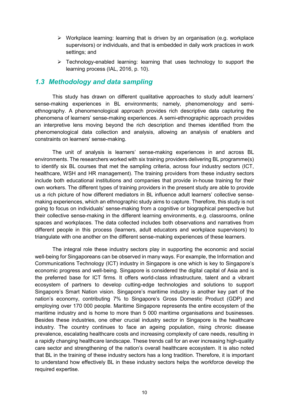- $\triangleright$  Workplace learning: learning that is driven by an organisation (e.g. workplace supervisors) or individuals, and that is embedded in daily work practices in work settings; and
- $\triangleright$  Technology-enabled learning: learning that uses technology to support the learning process (IAL, 2016, p. 10).

### <span id="page-9-0"></span>*1.3 Methodology and data sampling*

This study has drawn on different qualitative approaches to study adult learners' sense-making experiences in BL environments; namely, phenomenology and semiethnography. A phenomenological approach provides rich descriptive data capturing the phenomena of learners' sense-making experiences. A semi-ethnographic approach provides an interpretive lens moving beyond the rich description and themes identified from the phenomenological data collection and analysis, allowing an analysis of enablers and constraints on learners' sense-making.

The unit of analysis is learners' sense-making experiences in and across BL environments. The researchers worked with six training providers delivering BL programme(s) to identify six BL courses that met the sampling criteria, across four industry sectors (ICT, healthcare, WSH and HR management). The training providers from these industry sectors include both educational institutions and companies that provide in-house training for their own workers. The different types of training providers in the present study are able to provide us a rich picture of how different mediators in BL influence adult learners' collective sensemaking experiences, which an ethnographic study aims to capture. Therefore, this study is not going to focus on individuals' sense-making from a cognitive or biographical perspective but their collective sense-making in the different learning environments, e.g. classrooms, online spaces and workplaces. The data collected includes both observations and narratives from different people in this process (learners, adult educators and workplace supervisors) to triangulate with one another on the different sense-making experiences of these learners.

The integral role these industry sectors play in supporting the economic and social well-being for Singaporeans can be observed in many ways. For example, the Information and Communications Technology (ICT) industry in Singapore is one which is key to Singapore's economic progress and well-being. Singapore is considered the digital capital of Asia and is the preferred base for ICT firms. It offers world-class infrastructure, talent and a vibrant ecosystem of partners to develop cutting-edge technologies and solutions to support Singapore's Smart Nation vision. Singapore's maritime industry is another key part of the nation's economy, contributing 7% to Singapore's Gross Domestic Product (GDP) and employing over 170 000 people. Maritime Singapore represents the entire ecosystem of the maritime industry and is home to more than 5 000 maritime organisations and businesses. Besides these industries, one other crucial industry sector in Singapore is the healthcare industry. The country continues to face an ageing population, rising chronic disease prevalence, escalating healthcare costs and increasing complexity of care needs, resulting in a rapidly changing healthcare landscape. These trends call for an ever increasing high-quality care sector and strengthening of the nation's overall healthcare ecosystem. It is also noted that BL in the training of these industry sectors has a long tradition. Therefore, it is important to understand how effectively BL in these industry sectors helps the workforce develop the required expertise.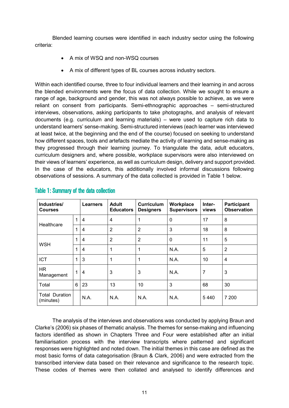Blended learning courses were identified in each industry sector using the following criteria:

- A mix of WSQ and non-WSQ courses
- A mix of different types of BL courses across industry sectors.

Within each identified course, three to four individual learners and their learning in and across the blended environments were the focus of data collection. While we sought to ensure a range of age, background and gender, this was not always possible to achieve, as we were reliant on consent from participants. Semi-ethnographic approaches – semi-structured interviews, observations, asking participants to take photographs, and analysis of relevant documents (e.g. curriculum and learning materials) – were used to capture rich data to understand learners' sense-making. Semi-structured interviews (each learner was interviewed at least twice, at the beginning and the end of the course) focused on seeking to understand how different spaces, tools and artefacts mediate the activity of learning and sense-making as they progressed through their learning journey. To triangulate the data, adult educators, curriculum designers and, where possible, workplace supervisors were also interviewed on their views of learners' experience, as well as curriculum design, delivery and support provided. In the case of the educators, this additionally involved informal discussions following observations of sessions. A summary of the data collected is provided in Table 1 below.

| Industries/<br><b>Courses</b>      |   | <b>Learners</b> | <b>Adult</b><br><b>Educators</b> | Curriculum<br><b>Designers</b> | Workplace<br><b>Supervisors</b> | Inter-<br>views | Participant<br><b>Observation</b> |
|------------------------------------|---|-----------------|----------------------------------|--------------------------------|---------------------------------|-----------------|-----------------------------------|
| Healthcare                         | 1 | 4               | $\overline{4}$                   | 1                              | $\mathbf{0}$                    | 17              | 8                                 |
|                                    |   | 4               | $\overline{2}$                   | $\overline{2}$                 | 3                               | 18              | 8                                 |
| <b>WSH</b>                         | 1 | 4               | $\overline{2}$                   | $\overline{2}$                 | $\mathbf 0$                     | 11              | 5                                 |
|                                    | 1 | $\overline{4}$  | 1                                | 1                              | N.A.                            | 5               | $\overline{2}$                    |
| <b>ICT</b>                         |   | 3               | 1                                | 1                              | N.A.                            | 10              | $\overline{4}$                    |
| <b>HR</b><br>Management            |   | $\overline{4}$  | 3                                | 3                              | N.A.                            | 7               | 3                                 |
| Total                              | 6 | 23              | 13                               | 10                             | 3                               | 68              | 30                                |
| <b>Total Duration</b><br>(minutes) |   | N.A.            | N.A.                             | N.A.                           | N.A.                            | 5440            | 7 200                             |

# <span id="page-10-0"></span>Table 1: Summary of the data collection

The analysis of the interviews and observations was conducted by applying Braun and Clarke's (2006) six phases of thematic analysis. The themes for sense-making and influencing factors identified as shown in Chapters Three and Four were established after an initial familiarisation process with the interview transcripts where patterned and significant responses were highlighted and noted down. The initial themes in this case are defined as the most basic forms of data categorisation (Braun & Clark, 2006) and were extracted from the transcribed interview data based on their relevance and significance to the research topic. These codes of themes were then collated and analysed to identify differences and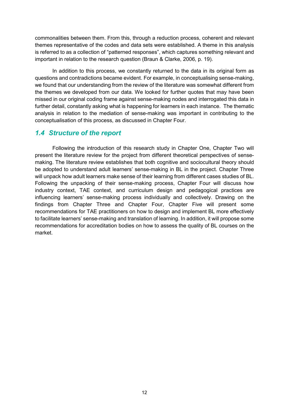commonalities between them. From this, through a reduction process, coherent and relevant themes representative of the codes and data sets were established. A theme in this analysis is referred to as a collection of "patterned responses", which captures something relevant and important in relation to the research question (Braun & Clarke, 2006, p. 19).

In addition to this process, we constantly returned to the data in its original form as questions and contradictions became evident. For example, in conceptualising sense-making, we found that our understanding from the review of the literature was somewhat different from the themes we developed from our data. We looked for further quotes that may have been missed in our original coding frame against sense-making nodes and interrogated this data in further detail, constantly asking what is happening for learners in each instance. The thematic analysis in relation to the mediation of sense-making was important in contributing to the conceptualisation of this process, as discussed in Chapter Four.

### <span id="page-11-0"></span>*1.4 Structure of the report*

Following the introduction of this research study in Chapter One, Chapter Two will present the literature review for the project from different theoretical perspectives of sensemaking. The literature review establishes that both cognitive and sociocultural theory should be adopted to understand adult learners' sense-making in BL in the project. Chapter Three will unpack how adult learners make sense of their learning from different cases studies of BL. Following the unpacking of their sense-making process, Chapter Four will discuss how industry context, TAE context, and curriculum design and pedagogical practices are influencing learners' sense-making process individually and collectively. Drawing on the findings from Chapter Three and Chapter Four, Chapter Five will present some recommendations for TAE practitioners on how to design and implement BL more effectively to facilitate learners' sense-making and translation of learning. In addition, it will propose some recommendations for accreditation bodies on how to assess the quality of BL courses on the market.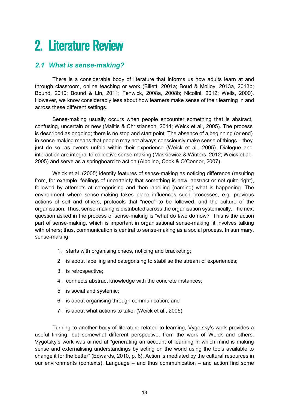# <span id="page-12-0"></span>2. Literature Review

# <span id="page-12-1"></span>*2.1 What is sense-making?*

There is a considerable body of literature that informs us how adults learn at and through classroom, online teaching or work (Billett, 2001a; Boud & Molloy, 2013a, 2013b; Bound, 2010; Bound & Lin, 2011; Fenwick, 2008a, 2008b; Nicolini, 2012; Wells, 2000). However, we know considerably less about how learners make sense of their learning in and across these different settings.

Sense-making usually occurs when people encounter something that is abstract, confusing, uncertain or new (Malitis & Christianson, 2014; Weick et al., 2005). The process is described as ongoing; there is no stop and start point. The absence of a beginning (or end) in sense-making means that people may not always consciously make sense of things – they just do so, as events unfold within their experience (Weick et al., 2005). Dialogue and interaction are integral to collective sense-making (Maskiewicz & Winters, 2012; Weick,et al., 2005) and serve as a springboard to action (Albolino, Cook & O'Connor, 2007).

Weick et al. (2005) identify features of sense-making as noticing difference (resulting from, for example, feelings of uncertainty that something is new, abstract or not quite right), followed by attempts at categorising and then labelling (naming) what is happening. The environment where sense-making takes place influences such processes, e.g. previous actions of self and others, protocols that "need" to be followed, and the culture of the organisation. Thus, sense-making is distributed across the organisation systemically. The next question asked in the process of sense-making is "what do I/we do now?" This is the action part of sense-making, which is important in organisational sense-making; it involves talking with others; thus, communication is central to sense-making as a social process. In summary, sense-making:

- 1. starts with organising chaos, noticing and bracketing;
- 2. is about labelling and categorising to stabilise the stream of experiences;
- 3. is retrospective;
- 4. connects abstract knowledge with the concrete instances;
- 5. is social and systemic;
- 6. is about organising through communication; and
- 7. is about what actions to take. (Weick et al., 2005)

Turning to another body of literature related to learning, Vygotsky's work provides a useful linking, but somewhat different perspective, from the work of Weick and others. Vygotsky's work was aimed at "generating an account of learning in which mind is making sense and externalising understandings by acting on the world using the tools available to change it for the better" (Edwards, 2010, p. 6). Action is mediated by the cultural resources in our environments (contexts). Language – and thus communication – and action find some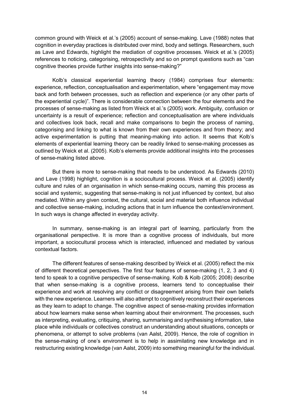common ground with Weick et al.'s (2005) account of sense-making. Lave (1988) notes that cognition in everyday practices is distributed over mind, body and settings. Researchers, such as Lave and Edwards, highlight the mediation of cognitive processes. Weick et al.'s (2005) references to noticing, categorising, retrospectivity and so on prompt questions such as "can cognitive theories provide further insights into sense-making?"

Kolb's classical experiential learning theory (1984) comprises four elements: experience, reflection, conceptualisation and experimentation, where "engagement may move back and forth between processes, such as reflection and experience (or any other parts of the experiential cycle)". There is considerable connection between the four elements and the processes of sense-making as listed from Weick et al.'s (2005) work. Ambiguity, confusion or uncertainty is a result of experience; reflection and conceptualisation are where individuals and collectives look back, recall and make comparisons to begin the process of naming, categorising and linking to what is known from their own experiences and from theory; and active experimentation is putting that meaning-making into action. It seems that Kolb's elements of experiential learning theory can be readily linked to sense-making processes as outlined by Weick et al. (2005). Kolb's elements provide additional insights into the processes of sense-making listed above.

But there is more to sense-making that needs to be understood. As Edwards (2010) and Lave (1998) highlight, cognition is a sociocultural process. Weick et al. (2005) identify culture and rules of an organisation in which sense-making occurs, naming this process as social and systemic, suggesting that sense-making is not just influenced by context, but also mediated. Within any given context, the cultural, social and material both influence individual and collective sense-making, including actions that in turn influence the context/environment. In such ways is change affected in everyday activity.

In summary, sense-making is an integral part of learning, particularly from the organisational perspective. It is more than a cognitive process of individuals, but more important, a sociocultural process which is interacted, influenced and mediated by various contextual factors.

The different features of sense-making described by Weick et al. (2005) reflect the mix of different theoretical perspectives. The first four features of sense-making (1, 2, 3 and 4) tend to speak to a cognitive perspective of sense-making. Kolb & Kolb (2005; 2008) describe that when sense-making is a cognitive process, learners tend to conceptualise their experience and work at resolving any conflict or disagreement arising from their own beliefs with the new experience. Learners will also attempt to cognitively reconstruct their experiences as they learn to adapt to change. The cognitive aspect of sense-making provides information about how learners make sense when learning about their environment. The processes, such as interpreting, evaluating, critiquing, sharing, summarising and synthesising information, take place while individuals or collectives construct an understanding about situations, concepts or phenomena, or attempt to solve problems (van Aalst, 2009). Hence, the role of cognition in the sense-making of one's environment is to help in assimilating new knowledge and in restructuring existing knowledge (van Aalst, 2009) into something meaningful for the individual.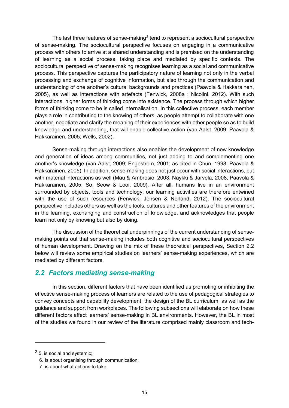The last three features of sense-making<sup>[2](#page-14-1)</sup> tend to represent a sociocultural perspective of sense-making. The sociocultural perspective focuses on engaging in a communicative process with others to arrive at a shared understanding and is premised on the understanding of learning as a social process, taking place and mediated by specific contexts. The sociocultural perspective of sense-making recognises learning as a social and communicative process. This perspective captures the participatory nature of learning not only in the verbal processing and exchange of cognitive information, but also through the communication and understanding of one another's cultural backgrounds and practices (Paavola & Hakkarainen, 2005), as well as interactions with artefacts (Fenwick, 2008a ; Nicolini, 2012). With such interactions, higher forms of thinking come into existence. The process through which higher forms of thinking come to be is called internalisation. In this collective process, each member plays a role in contributing to the knowing of others, as people attempt to collaborate with one another, negotiate and clarify the meaning of their experiences with other people so as to build knowledge and understanding, that will enable collective action (van Aalst, 2009; Paavola & Hakkarainen, 2005; Wells, 2002).

Sense-making through interactions also enables the development of new knowledge and generation of ideas among communities, not just adding to and complementing one another's knowledge (van Aalst, 2009; Engestrom, 2001; as cited in Chun, 1998; Paavola & Hakkarainen, 2005). In addition, sense-making does not just occur with social interactions, but with material interactions as well (Mau & Ambrosio, 2003; Naykki & Jarvela, 2008; Paavola & Hakkarainen, 2005; So, Seow & Looi, 2009). After all, humans live in an environment surrounded by objects, tools and technology; our learning activities are therefore entwined with the use of such resources (Fenwick, Jensen & Nerland, 2012). The sociocultural perspective includes others as well as the tools, cultures and other features of the environment in the learning, exchanging and construction of knowledge, and acknowledges that people learn not only by knowing but also by doing.

The discussion of the theoretical underpinnings of the current understanding of sensemaking points out that sense-making includes both cognitive and sociocultural perspectives of human development. Drawing on the mix of these theoretical perspectives, Section 2.2 below will review some empirical studies on learners' sense-making experiences, which are mediated by different factors.

### <span id="page-14-0"></span>*2.2 Factors mediating sense-making*

In this section, different factors that have been identified as promoting or inhibiting the effective sense-making process of learners are related to the use of pedagogical strategies to convey concepts and capability development, the design of the BL curriculum, as well as the guidance and support from workplaces. The following subsections will elaborate on how these different factors affect learners' sense-making in BL environments. However, the BL in most of the studies we found in our review of the literature comprised mainly classroom and tech-

-

<span id="page-14-1"></span><sup>2</sup> 5. is social and systemic;

<sup>6.</sup> is about organising through communication;

<sup>7.</sup> is about what actions to take.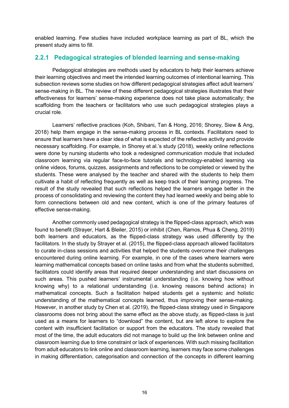enabled learning. Few studies have included workplace learning as part of BL, which the present study aims to fill.

### **2.2.1 Pedagogical strategies of blended learning and sense-making**

Pedagogical strategies are methods used by educators to help their learners achieve their learning objectives and meet the intended learning outcomes of intentional learning. This subsection reviews some studies on how different pedagogical strategies affect adult learners' sense-making in BL. The review of these different pedagogical strategies illustrates that their effectiveness for learners' sense-making experience does not take place automatically; the scaffolding from the teachers or facilitators who use such pedagogical strategies plays a crucial role.

Learners' reflective practices (Koh, Shibani, Tan & Hong, 2016; Shorey, Siew & Ang, 2018) help them engage in the sense-making process in BL contexts. Facilitators need to ensure that learners have a clear idea of what is expected of the reflective activity and provide necessary scaffolding. For example, in Shorey et al.'s study (2018), weekly online reflections were done by nursing students who took a redesigned communication module that included classroom learning via regular face-to-face tutorials and technology-enabled learning via online videos, forums, quizzes, assignments and reflections to be completed or viewed by the students. These were analysed by the teacher and shared with the students to help them cultivate a habit of reflecting frequently as well as keep track of their learning progress. The result of the study revealed that such reflections helped the learners engage better in the process of consolidating and reviewing the content they had learned weekly and being able to form connections between old and new content, which is one of the primary features of effective sense-making.

Another commonly used pedagogical strategy is the flipped-class approach, which was found to benefit (Strayer, Hart & Bleiler, 2015) or inhibit (Chen, Ramos, Phua & Cheng, 2019) both learners and educators, as the flipped-class strategy was used differently by the facilitators. In the study by Strayer et al. (2015), the flipped-class approach allowed facilitators to curate in-class sessions and activities that helped the students overcome their challenges encountered during online learning. For example, in one of the cases where learners were learning mathematical concepts based on online tasks and from what the students submitted, facilitators could identify areas that required deeper understanding and start discussions on such areas. This pushed learners' instrumental understanding (i.e. knowing how without knowing why) to a relational understanding (i.e. knowing reasons behind actions) in mathematical concepts. Such a facilitation helped students get a systemic and holistic understanding of the mathematical concepts learned, thus improving their sense-making. However, in another study by Chen et al. (2019), the flipped-class strategy used in Singapore classrooms does not bring about the same effect as the above study, as flipped-class is just used as a means for learners to "download" the content, but are left alone to explore the content with insufficient facilitation or support from the educators. The study revealed that most of the time, the adult educators did not manage to build up the link between online and classroom learning due to time constraint or lack of experiences. With such missing facilitation from adult educators to link online and classroom learning, learners may face some challenges in making differentiation, categorisation and connection of the concepts in different learning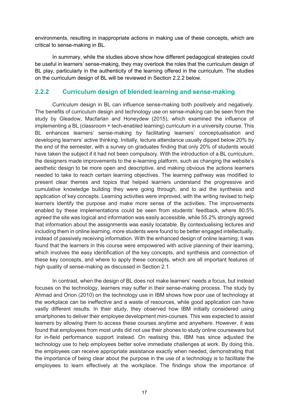environments, resulting in inappropriate actions in making use of these concepts, which are critical to sense-making in BL.

In summary, while the studies above show how different pedagogical strategies could be useful in learners' sense-making, they may overlook the roles that the curriculum design of BL play, particularly in the authenticity of the learning offered in the curriculum. The studies on the curriculum design of BL will be reviewed in Section 2.2.2 below.

### **2.2.2 Curriculum design of blended learning and sense-making**

Curriculum design in BL can influence sense-making both positively and negatively. The benefits of curriculum design and technology use on sense-making can be seen from the study by Gleadow, Macfarlan and Honeydew (2015), which examined the influence of implementing a BL (classroom + tech-enabled learning) curriculum in a university course. This BL enhances learners' sense-making by facilitating learners' conceptualisation and developing learners' active thinking. Initially, lecture attendance usually dipped below 20% by the end of the semester, with a survey on graduates finding that only 20% of students would have taken the subject if it had not been compulsory. With the introduction of a BL curriculum, the designers made improvements to the e-learning platform, such as changing the website's aesthetic design to be more open and descriptive, and making obvious the actions learners needed to take to reach certain learning objectives. The learning pathway was modified to present clear themes and topics that helped learners understand the progressive and cumulative knowledge building they were going through, and to aid the synthesis and application of key concepts. Learning activities were improved, with the writing revised to help learners identify the purpose and make more sense of the activities. The improvements enabled by these implementations could be seen from students' feedback, where 80.5% agreed the site was logical and information was easily accessible, while 55.2% strongly agreed that information about the assignments was easily locatable. By contextualising lectures and including them in online learning, more students were found to be better engaged intellectually, instead of passively receiving information. With the enhanced design of online learning, it was found that the learners in this course were empowered with active planning of their learning, which involves the easy identification of the key concepts, and synthesis and connection of these key concepts, and where to apply these concepts, which are all important features of high quality of sense-making as discussed in Section 2.1.

In contrast, when the design of BL does not make learners' needs a focus, but instead focuses on the technology, learners may suffer in their sense-making process. The study by Ahmad and Orion (2010) on the technology use in IBM shows how poor use of technology at the workplace can be ineffective and a waste of resources, while good application can have vastly different results. In their study, they observed how IBM initially considered using smartphones to deliver their employee development mini-courses. This was expected to assist learners by allowing them to access these courses anytime and anywhere. However, it was found that employees from most units did not use their phones to study online courseware but for in-field performance support instead. On realising this, IBM has since adjusted the technology use to help employees better solve immediate challenges at work. By doing this, the employees can receive appropriate assistance exactly when needed, demonstrating that the importance of being clear about the purpose in the use of a technology is to facilitate the employees to learn effectively at the workplace. The findings show the importance of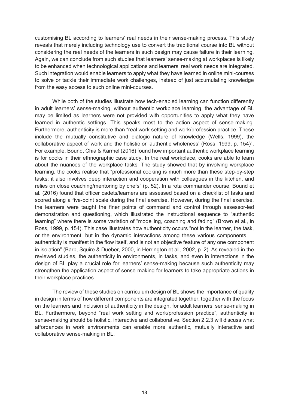customising BL according to learners' real needs in their sense-making process. This study reveals that merely including technology use to convert the traditional course into BL without considering the real needs of the learners in such design may cause failure in their learning. Again, we can conclude from such studies that learners' sense-making at workplaces is likely to be enhanced when technological applications and learners' real work needs are integrated. Such integration would enable learners to apply what they have learned in online mini-courses to solve or tackle their immediate work challenges, instead of just accumulating knowledge from the easy access to such online mini-courses.

While both of the studies illustrate how tech-enabled learning can function differently in adult learners' sense-making, without authentic workplace learning, the advantage of BL may be limited as learners were not provided with opportunities to apply what they have learned in authentic settings. This speaks most to the action aspect of sense-making. Furthermore, authenticity is more than "real work setting and work/profession practice. These include the mutually constitutive and dialogic nature of knowledge (Wells, 1999), the collaborative aspect of work and the holistic or 'authentic wholeness' (Ross, 1999, p. 154)". For example, Bound, Chia & Karmel (2016) found how important authentic workplace learning is for cooks in their ethnographic case study. In the real workplace, cooks are able to learn about the nuances of the workplace tasks. The study showed that by involving workplace learning, the cooks realise that "professional cooking is much more than these step-by-step tasks; it also involves deep interaction and cooperation with colleagues in the kitchen, and relies on close coaching/mentoring by chefs" (p. 52). In a rota commander course, Bound et al. (2016) found that officer cadets/learners are assessed based on a checklist of tasks and scored along a five-point scale during the final exercise. However, during the final exercise, the learners were taught the finer points of command and control through assessor-led demonstration and questioning, which illustrated the instructional sequence to "authentic learning" where there is some variation of "modelling, coaching and fading" (Brown et al., in Ross, 1999, p. 154). This case illustrates how authenticity occurs "not in the learner, the task, or the environment, but in the dynamic interactions among these various components … authenticity is manifest in the flow itself, and is not an objective feature of any one component in isolation" (Barb, Squire & Dueber, 2000, in Herrington et al., 2002, p. 2). As revealed in the reviewed studies, the authenticity in environments, in tasks, and even in interactions in the design of BL play a crucial role for learners' sense-making because such authenticity may strengthen the application aspect of sense-making for learners to take appropriate actions in their workplace practices.

The review of these studies on curriculum design of BL shows the importance of quality in design in terms of how different components are integrated together, together with the focus on the learners and inclusion of authenticity in the design, for adult learners' sense-making in BL. Furthermore, beyond "real work setting and work/profession practice", authenticity in sense-making should be holistic, interactive and collaborative. Section 2.2.3 will discuss what affordances in work environments can enable more authentic, mutually interactive and collaborative sense-making in BL.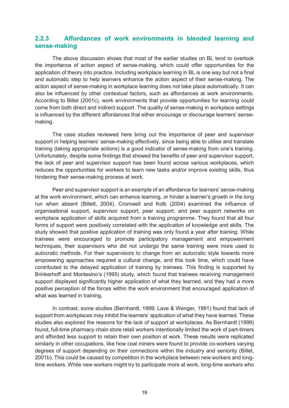### **2.2.3 Affordances of work environments in blended learning and sense-making**

The above discussion shows that most of the earlier studies on BL tend to overlook the importance of action aspect of sense-making, which could offer opportunities for the application of theory into practice. Including workplace learning in BL is one way but not a final and automatic step to help learners enhance the action aspect of their sense-making. The action aspect of sense-making in workplace learning does not take place automatically. It can also be influenced by other contextual factors, such as affordances at work environments. According to Billet (2001c), work environments that provide opportunities for learning could come from both direct and indirect support. The quality of sense-making in workplace settings is influenced by the different affordances that either encourage or discourage learners' sensemaking.

The case studies reviewed here bring out the importance of peer and supervisor support in helping learners' sense-making effectively, since being able to utilise and translate training (taking appropriate actions) is a good indicator of sense-making from one's training. Unfortunately, despite some findings that showed the benefits of peer and supervisor support, the lack of peer and supervisor support has been found across various workplaces, which reduces the opportunities for workers to learn new tasks and/or improve existing skills, thus hindering their sense-making process at work.

Peer and supervisor support is an example of an affordance for learners' sense-making at the work environment, which can enhance learning, or hinder a learner's growth in the long run when absent (Billett, 2004). Cromwell and Kolb (2004) examined the influence of organisational support, supervisor support, peer support, and peer support networks on workplace application of skills acquired from a training programme. They found that all four forms of support were positively correlated with the application of knowledge and skills. The study showed that positive application of training was only found a year after training. While trainees were encouraged to promote participatory management and empowerment techniques, their supervisors who did not undergo the same training were more used to autocratic methods. For their supervisors to change from an autocratic style towards more empowering approaches required a cultural change, and this took time, which could have contributed to the delayed application of training by trainees. This finding is supported by Brinkerhoff and Montesino's (1995) study, which found that trainees receiving management support displayed significantly higher application of what they learned, and they had a more positive perception of the forces within the work environment that encouraged application of what was learned in training.

In contrast, some studies (Bernhardt, 1999; Lave & Wenger, 1991) found that lack of support from workplaces may inhibit the learners' application of what they have learned. These studies also explored the reasons for the lack of support at workplaces. As Bernhardt (1999) found, full-time pharmacy chain store retail workers intentionally limited the work of part-timers and afforded less support to retain their own position at work. These results were replicated similarly in other occupations, like how coal miners were found to provide co-workers varying degrees of support depending on their connections within the industry and seniority (Billet, 2001b). This could be caused by competition in the workplace between new workers and longtime workers. While new workers might try to participate more at work, long-time workers who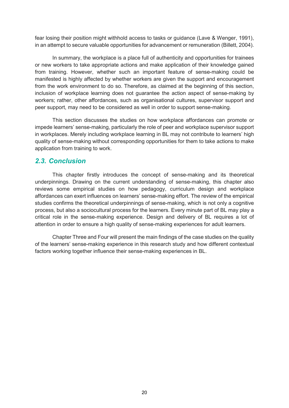fear losing their position might withhold access to tasks or guidance (Lave & Wenger, 1991), in an attempt to secure valuable opportunities for advancement or remuneration (Billett, 2004).

In summary, the workplace is a place full of authenticity and opportunities for trainees or new workers to take appropriate actions and make application of their knowledge gained from training. However, whether such an important feature of sense-making could be manifested is highly affected by whether workers are given the support and encouragement from the work environment to do so. Therefore, as claimed at the beginning of this section, inclusion of workplace learning does not guarantee the action aspect of sense-making by workers; rather, other affordances, such as organisational cultures, supervisor support and peer support, may need to be considered as well in order to support sense-making.

This section discusses the studies on how workplace affordances can promote or impede learners' sense-making, particularly the role of peer and workplace supervisor support in workplaces. Merely including workplace learning in BL may not contribute to learners' high quality of sense-making without corresponding opportunities for them to take actions to make application from training to work.

# <span id="page-19-0"></span>*2.3. Conclusion*

This chapter firstly introduces the concept of sense-making and its theoretical underpinnings. Drawing on the current understanding of sense-making, this chapter also reviews some empirical studies on how pedagogy, curriculum design and workplace affordances can exert influences on learners' sense-making effort. The review of the empirical studies confirms the theoretical underpinnings of sense-making, which is not only a cognitive process, but also a sociocultural process for the learners. Every minute part of BL may play a critical role in the sense-making experience. Design and delivery of BL requires a lot of attention in order to ensure a high quality of sense-making experiences for adult learners.

Chapter Three and Four will present the main findings of the case studies on the quality of the learners' sense-making experience in this research study and how different contextual factors working together influence their sense-making experiences in BL.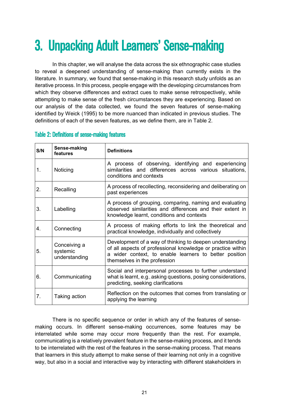# <span id="page-20-0"></span>3. Unpacking Adult Learners' Sense-making

In this chapter, we will analyse the data across the six ethnographic case studies to reveal a deepened understanding of sense-making than currently exists in the literature. In summary, we found that sense-making in this research study unfolds as an iterative process. In this process, people engage with the developing circumstances from which they observe differences and extract cues to make sense retrospectively, while attempting to make sense of the fresh circumstances they are experiencing. Based on our analysis of the data collected, we found the seven features of sense-making identified by Weick (1995) to be more nuanced than indicated in previous studies. The definitions of each of the seven features, as we define them, are in Table 2.

| S/N | Sense-making<br>features                  | <b>Definitions</b>                                                                                                                                                                                                |
|-----|-------------------------------------------|-------------------------------------------------------------------------------------------------------------------------------------------------------------------------------------------------------------------|
| 1.  | Noticing                                  | A process of observing, identifying and experiencing<br>similarities and differences across various situations,<br>conditions and contexts                                                                        |
| 2.  | Recalling                                 | A process of recollecting, reconsidering and deliberating on<br>past experiences                                                                                                                                  |
| 3.  | Labelling                                 | A process of grouping, comparing, naming and evaluating<br>observed similarities and differences and their extent in<br>knowledge learnt, conditions and contexts                                                 |
| 4.  | Connecting                                | A process of making efforts to link the theoretical and<br>practical knowledge, individually and collectively                                                                                                     |
| 5.  | Conceiving a<br>systemic<br>understanding | Development of a way of thinking to deepen understanding<br>of all aspects of professional knowledge or practice within<br>a wider context, to enable learners to better position<br>themselves in the profession |
| 6.  | Communicating                             | Social and interpersonal processes to further understand<br>what is learnt, e.g., asking questions, posing considerations,<br>predicting, seeking clarifications                                                  |
| 7.  | Taking action                             | Reflection on the outcomes that comes from translating or<br>applying the learning                                                                                                                                |

### <span id="page-20-1"></span>Table 2: Definitions of sense-making features

There is no specific sequence or order in which any of the features of sensemaking occurs. In different sense-making occurrences, some features may be interrelated while some may occur more frequently than the rest. For example, communicating is a relatively prevalent feature in the sense-making process, and it tends to be interrelated with the rest of the features in the sense-making process. That means that learners in this study attempt to make sense of their learning not only in a cognitive way, but also in a social and interactive way by interacting with different stakeholders in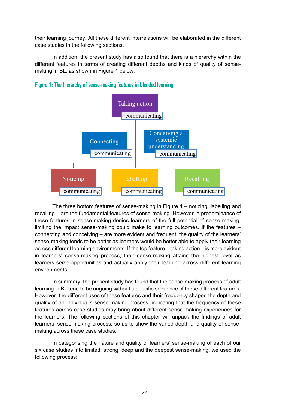their learning journey. All these different interrelations will be elaborated in the different case studies in the following sections.

In addition, the present study has also found that there is a hierarchy within the different features in terms of creating different depths and kinds of quality of sensemaking in BL, as shown in Figure 1 below.



<span id="page-21-0"></span>Figure 1: The hierarchy of sense-making features in blended learning

The three bottom features of sense-making in Figure 1 – noticing, labelling and recalling – are the fundamental features of sense-making. However, a predominance of these features in sense-making denies learners of the full potential of sense-making, limiting the impact sense-making could make to learning outcomes. If the features – connecting and conceiving – are more evident and frequent, the quality of the learners' sense-making tends to be better as learners would be better able to apply their learning across different learning environments. If the top feature – taking action – is more evident in learners' sense-making process, their sense-making attains the highest level as learners seize opportunities and actually apply their learning across different learning environments.

In summary, the present study has found that the sense-making process of adult learning in BL tend to be ongoing without a specific sequence of these different features. However, the different uses of these features and their frequency shaped the depth and quality of an individual's sense-making process, indicating that the frequency of these features across case studies may bring about different sense-making experiences for the learners. The following sections of this chapter will unpack the findings of adult learners' sense-making process, so as to show the varied depth and quality of sensemaking across these case studies.

In categorising the nature and quality of learners' sense-making of each of our six case studies into limited, strong, deep and the deepest sense-making, we used the following process: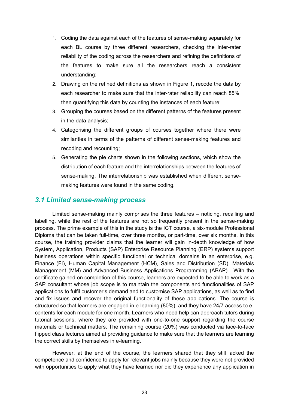- 1. Coding the data against each of the features of sense-making separately for each BL course by three different researchers, checking the inter-rater reliability of the coding across the researchers and refining the definitions of the features to make sure all the researchers reach a consistent understanding;
- 2. Drawing on the refined definitions as shown in Figure 1, recode the data by each researcher to make sure that the inter-rater reliability can reach 85%, then quantifying this data by counting the instances of each feature;
- 3. Grouping the courses based on the different patterns of the features present in the data analysis;
- 4. Categorising the different groups of courses together where there were similarities in terms of the patterns of different sense-making features and recoding and recounting;
- 5. Generating the pie charts shown in the following sections, which show the distribution of each feature and the interrelationships between the features of sense-making. The interrelationship was established when different sensemaking features were found in the same coding.

### <span id="page-22-0"></span>*3.1 Limited sense-making process*

Limited sense-making mainly comprises the three features – noticing, recalling and labelling, while the rest of the features are not so frequently present in the sense-making process. The prime example of this in the study is the ICT course, a six-module Professional Diploma that can be taken full-time, over three months, or part-time, over six months. In this course, the training provider claims that the learner will gain in-depth knowledge of how System, Application, Products (SAP) Enterprise Resource Planning (ERP) systems support business operations within specific functional or technical domains in an enterprise, e.g. Finance (FI), Human Capital Management (HCM), Sales and Distribution (SD), Materials Management (MM) and Advanced Business Applications Programming (ABAP). With the certificate gained on completion of this course, learners are expected to be able to work as a SAP consultant whose job scope is to maintain the components and functionalities of SAP applications to fulfil customer's demand and to customise SAP applications, as well as to find and fix issues and recover the original functionality of these applications. The course is structured so that learners are engaged in e-learning (80%), and they have 24/7 access to econtents for each module for one month. Learners who need help can approach tutors during tutorial sessions, where they are provided with one-to-one support regarding the course materials or technical matters. The remaining course (20%) was conducted via face-to-face flipped class lectures aimed at providing guidance to make sure that the learners are learning the correct skills by themselves in e-learning.

However, at the end of the course, the learners shared that they still lacked the competence and confidence to apply for relevant jobs mainly because they were not provided with opportunities to apply what they have learned nor did they experience any application in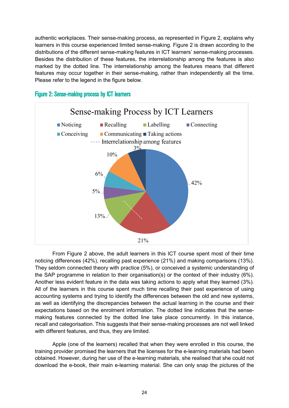authentic workplaces. Their sense-making process, as represented in Figure 2, explains why learners in this course experienced limited sense-making. Figure 2 is drawn according to the distributions of the different sense-making features in ICT learners' sense-making processes. Besides the distribution of these features, the interrelationship among the features is also marked by the dotted line. The interrelationship among the features means that different features may occur together in their sense-making, rather than independently all the time. Please refer to the legend in the figure below.



### <span id="page-23-0"></span>Figure 2: Sense-making process by ICT learners

From Figure 2 above, the adult learners in this ICT course spent most of their time noticing differences (42%), recalling past experience (21%) and making comparisons (13%). They seldom connected theory with practice (5%), or conceived a systemic understanding of the SAP programme in relation to their organisation(s) or the context of their industry (6%). Another less evident feature in the data was taking actions to apply what they learned (3%). All of the learners in this course spent much time recalling their past experience of using accounting systems and trying to identify the differences between the old and new systems, as well as identifying the discrepancies between the actual learning in the course and their expectations based on the enrolment information. The dotted line indicates that the sensemaking features connected by the dotted line take place concurrently. In this instance, recall and categorisation. This suggests that their sense-making processes are not well linked with different features, and thus, they are limited.

Apple (one of the learners) recalled that when they were enrolled in this course, the training provider promised the learners that the licenses for the e-learning materials had been obtained. However, during her use of the e-learning materials, she realised that she could not download the e-book, their main e-learning material. She can only snap the pictures of the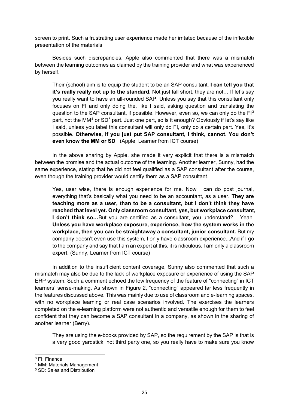screen to print. Such a frustrating user experience made her irritated because of the inflexible presentation of the materials.

Besides such discrepancies, Apple also commented that there was a mismatch between the learning outcomes as claimed by the training provider and what was experienced by herself.

Their (school) aim is to equip the student to be an SAP consultant. **I can tell you that it's really really not up to the standard.** Not just fall short, they are not… If let's say you really want to have an all-rounded SAP. Unless you say that this consultant only focuses on FI and only doing the, like I said, asking question and translating the question to the SAP consultant, if possible. However, even so, we can only do the  $F1<sup>3</sup>$  $F1<sup>3</sup>$  $F1<sup>3</sup>$ part, not the MM<sup>[4](#page-24-1)</sup> or SD<sup>[5](#page-24-2)</sup> part. Just one part, so is it enough? Obviously if let's say like I said, unless you label this consultant will only do FI, only do a certain part. Yes, it's possible. **Otherwise, if you just put SAP consultant, I think, cannot. You don't even know the MM or SD**. (Apple, Learner from ICT course)

In the above sharing by Apple, she made it very explicit that there is a mismatch between the promise and the actual outcome of the learning. Another learner, Sunny, had the same experience, stating that he did not feel qualified as a SAP consultant after the course, even though the training provider would certify them as a SAP consultant.

Yes, user wise, there is enough experience for me. Now I can do post journal, everything that's basically what you need to be an accountant, as a user. **They are teaching more as a user, than to be a consultant, but I don't think they have reached that level yet. Only classroom consultant, yes, but workplace consultant, I don't think so…**But you are certified as a consultant, you understand?... Yeah. **Unless you have workplace exposure, experience, how the system works in the workplace, then you can be straightaway a consultant, junior consultant.** But my company doesn't even use this system, I only have classroom experience...And if I go to the company and say that I am an expert at this, it is ridiculous. I am only a classroom expert. (Sunny, Learner from ICT course)

In addition to the insufficient content coverage, Sunny also commented that such a mismatch may also be due to the lack of workplace exposure or experience of using the SAP ERP system. Such a comment echoed the low frequency of the feature of "connecting" in ICT learners' sense-making. As shown in Figure 2, "connecting" appeared far less frequently in the features discussed above. This was mainly due to use of classroom and e-learning spaces, with no workplace learning or real case scenarios involved. The exercises the learners completed on the e-learning platform were not authentic and versatile enough for them to feel confident that they can become a SAP consultant in a company, as shown in the sharing of another learner (Berry).

They are using the e-books provided by SAP, so the requirement by the SAP is that is a very good yardstick, not third party one, so you really have to make sure you know

<span id="page-24-0"></span> <sup>3</sup> FI: Finance

<span id="page-24-1"></span><sup>4</sup> MM: Materials Management

<span id="page-24-2"></span><sup>5</sup> SD: Sales and Distribution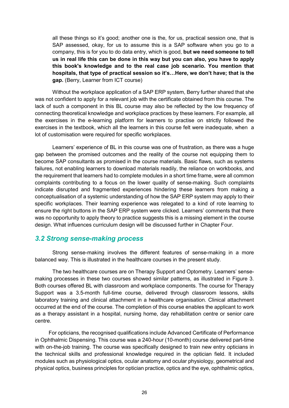all these things so it's good; another one is the, for us, practical session one, that is SAP assessed, okay, for us to assume this is a SAP software when you go to a company, this is for you to do data entry, which is good, **but we need someone to tell us in real life this can be done in this way but you can also, you have to apply this book's knowledge and to the real case job scenario. You mention that hospitals, that type of practical session so it's…Here, we don't have; that is the gap.** (Berry, Learner from ICT course)

Without the workplace application of a SAP ERP system, Berry further shared that she was not confident to apply for a relevant job with the certificate obtained from this course. The lack of such a component in this BL course may also be reflected by the low frequency of connecting theoretical knowledge and workplace practices by these learners. For example, all the exercises in the e-learning platform for learners to practise on strictly followed the exercises in the textbook, which all the learners in this course felt were inadequate, when a lot of customisation were required for specific workplaces.

Learners' experience of BL in this course was one of frustration, as there was a huge gap between the promised outcomes and the reality of the course not equipping them to become SAP consultants as promised in the course materials. Basic flaws, such as systems failures, not enabling learners to download materials readily, the reliance on workbooks, and the requirement that learners had to complete modules in a short time frame, were all common complaints contributing to a focus on the lower quality of sense-making. Such complaints indicate disrupted and fragmented experiences hindering these learners from making a conceptualisation of a systemic understanding of how the SAP ERP system may apply to their specific workplaces. Their learning experience was relegated to a kind of rote learning to ensure the right buttons in the SAP ERP system were clicked. Learners' comments that there was no opportunity to apply theory to practice suggests this is a missing element in the course design. What influences curriculum design will be discussed further in Chapter Four.

### <span id="page-25-0"></span>*3.2 Strong sense-making process*

Strong sense-making involves the different features of sense-making in a more balanced way. This is illustrated in the healthcare courses in the present study.

The two healthcare courses are on Therapy Support and Optometry. Learners' sensemaking processes in these two courses showed similar patterns, as illustrated in Figure 3. Both courses offered BL with classroom and workplace components. The course for Therapy Support was a 3.5-month full-time course, delivered through classroom lessons, skills laboratory training and clinical attachment in a healthcare organisation. Clinical attachment occurred at the end of the course. The completion of this course enables the applicant to work as a therapy assistant in a hospital, nursing home, day rehabilitation centre or senior care centre.

For opticians, the recognised qualifications include Advanced Certificate of Performance in Ophthalmic Dispensing. This course was a 240-hour (10-month) course delivered part-time with on-the-job training. The course was specifically designed to train new entry opticians in the technical skills and professional knowledge required in the optician field. It included modules such as physiological optics, ocular anatomy and ocular physiology, geometrical and physical optics, business principles for optician practice, optics and the eye, ophthalmic optics,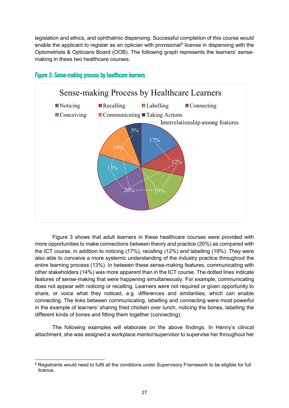legislation and ethics, and ophthalmic dispensing. Successful completion of this course would enable the applicant to register as an optician with provisional<sup>[6](#page-26-1)</sup> license in dispensing with the Optometrists & Opticians Board (OOB). The following graph represents the learners' sensemaking in these two healthcare courses.



### <span id="page-26-0"></span>Figure 3: Sense-making process by healthcare learners

Figure 3 shows that adult learners in these healthcare courses were provided with more opportunities to make connections between theory and practice (20%) as compared with the ICT course, in addition to noticing (17%), recalling (12%) and labelling (19%). They were also able to conceive a more systemic understanding of the industry practice throughout the entire learning process (13%). In between these sense-making features, communicating with other stakeholders (14%) was more apparent than in the ICT course. The dotted lines indicate features of sense-making that were happening simultaneously. For example, communicating does not appear with noticing or recalling. Learners were not required or given opportunity to share, or voice what they noticed, e.g. differences and similarities, which can enable connecting. The links between communicating, labelling and connecting were most powerful in the example of learners' sharing fried chicken over lunch, noticing the bones, labelling the different kinds of bones and fitting them together (connecting).

The following examples will elaborate on the above findings. In Henny's clinical attachment, she was assigned a workplace mentor/supervisor to supervise her throughout her

<span id="page-26-1"></span><sup>&</sup>lt;sup>6</sup> Registrants would need to fulfil all the conditions under Supervisory Framework to be eligible for full licence.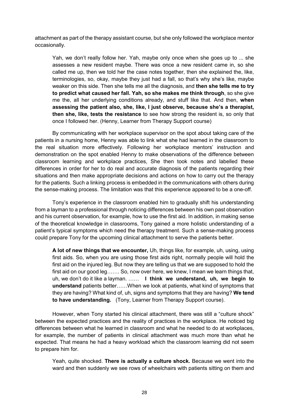attachment as part of the therapy assistant course, but she only followed the workplace mentor occasionally.

Yah, we don't really follow her. Yah, maybe only once when she goes up to ... she assesses a new resident maybe. There was once a new resident came in, so she called me up, then we told her the case notes together, then she explained the, like, terminologies, so, okay, maybe they just had a fall, so that's why she's like, maybe weaker on this side. Then she tells me all the diagnosis, and **then she tells me to try to predict what caused her fall. Yah, so she makes me think through**, so she give me the, all her underlying conditions already, and stuff like that. And then, **when assessing the patient also, she, like, I just observe, because she's a therapist, then she, like, tests the resistance** to see how strong the resident is, so only that once I followed her. (Henny, Learner from Therapy Support course)

By communicating with her workplace supervisor on the spot about taking care of the patients in a nursing home, Henny was able to link what she had learned in the classroom to the real situation more effectively. Following her workplace mentors' instruction and demonstration on the spot enabled Henny to make observations of the difference between classroom learning and workplace practices, She then took notes and labelled these differences in order for her to do real and accurate diagnosis of the patients regarding their situations and then make appropriate decisions and actions on how to carry out the therapy for the patients. Such a linking process is embedded in the communications with others during the sense-making process. The limitation was that this experience appeared to be a one-off.

Tony's experience in the classroom enabled him to gradually shift his understanding from a layman to a professional through noticing differences between his own past observation and his current observation, for example, how to use the first aid. In addition, in making sense of the theoretical knowledge in classrooms, Tony gained a more holistic understanding of a patient's typical symptoms which need the therapy treatment. Such a sense-making process could prepare Tony for the upcoming clinical attachment to serve the patients better.

**A lot of new things that we encounter,** Uh, things like, for example, uh, using, using first aids. So, when you are using those first aids right, normally people will hold the first aid on the injured leg. But now they are telling us that we are supposed to hold the first aid on our good leg……. So, now over here, we knew, I mean we learn things that, uh, we don't do it like a layman. …… **I think we understand, uh, we begin to understand** patients better……When we look at patients, what kind of symptoms that they are having? What kind of, uh, signs and symptoms that they are having? **We tend to have understanding.** (Tony, Learner from Therapy Support course).

However, when Tony started his clinical attachment, there was still a "culture shock" between the expected practices and the reality of practices in the workplace. He noticed big differences between what he learned in classroom and what he needed to do at workplaces, for example, the number of patients in clinical attachment was much more than what he expected. That means he had a heavy workload which the classroom learning did not seem to prepare him for.

Yeah, quite shocked. **There is actually a culture shock.** Because we went into the ward and then suddenly we see rows of wheelchairs with patients sitting on them and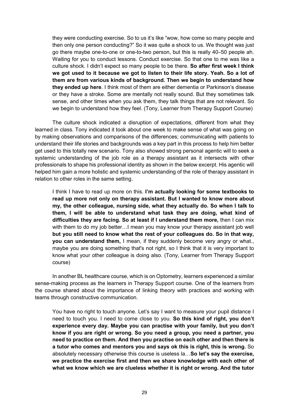they were conducting exercise. So to us it's like "wow, how come so many people and then only one person conducting?" So it was quite a shock to us. We thought was just go there maybe one-to-one or one-to-two person, but this is really 40–50 people ah. Waiting for you to conduct lessons. Conduct exercise. So that one to me was like a culture shock. I didn't expect so many people to be there. **So after first week I think we got used to it because we got to listen to their life story. Yeah. So a lot of them are from various kinds of background. Then we begin to understand how they ended up here**. I think most of them are either dementia or Parkinson's disease or they have a stroke. Some are mentally not really sound. But they sometimes talk sense, and other times when you ask them, they talk things that are not relevant. So we begin to understand how they feel. (Tony, Learner from Therapy Support Course)

The culture shock indicated a disruption of expectations, different from what they learned in class. Tony indicated it took about one week to make sense of what was going on by making observations and comparisons of the differences; communicating with patients to understand their life stories and backgrounds was a key part in this process to help him better get used to this totally new scenario. Tony also showed strong personal agentic will to seek a systemic understanding of the job role as a therapy assistant as it intersects with other professionals to shape his professional identity as shown in the below excerpt. His agentic will helped him gain a more holistic and systemic understanding of the role of therapy assistant in relation to other roles in the same setting.

I think I have to read up more on this. **I'm actually looking for some textbooks to read up more not only on therapy assistant. But I wanted to know more about my, the other colleague, nursing side, what they actually do. So when I talk to them, I will be able to understand what task they are doing, what kind of difficulties they are facing. So at least if I understand them more,** then I can mix with them to do my job better…I mean you may know your therapy assistant job well **but you still need to know what the rest of your colleagues do. So in that way, you can understand them,** I mean, if they suddenly become very angry or what., maybe you are doing something that's not right, so I think that it is very important to know what your other colleague is doing also. (Tony, Learner from Therapy Support course)

In another BL healthcare course, which is on Optometry, learners experienced a similar sense-making process as the learners in Therapy Support course. One of the learners from the course shared about the importance of linking theory with practices and working with teams through constructive communication.

You have no right to touch anyone. Let's say I want to measure your pupil distance I need to touch you. I need to come close to you. **So this kind of right, you don't experience every day. Maybe you can practise with your family, but you don't know if you are right or wrong. So you need a group, you need a partner, you need to practice on them. And then you practise on each other and then there is a tutor who comes and mentors you and says ok this is right, this is wrong.** So absolutely necessary otherwise this course is useless la…**So let's say the exercise, we practice the exercise first and then we share knowledge with each other of what we know which we are clueless whether it is right or wrong. And the tutor**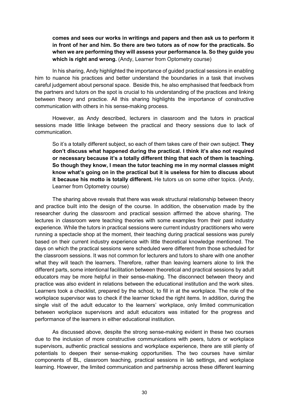**comes and sees our works in writings and papers and then ask us to perform it in front of her and him. So there are two tutors as of now for the practicals. So when we are performing they will assess your performance la. So they guide you which is right and wrong.** (Andy, Learner from Optometry course)

In his sharing, Andy highlighted the importance of guided practical sessions in enabling him to nuance his practices and better understand the boundaries in a task that involves careful judgement about personal space. Beside this, he also emphasised that feedback from the partners and tutors on the spot is crucial to his understanding of the practices and linking between theory and practice. All this sharing highlights the importance of constructive communication with others in his sense-making process.

However, as Andy described, lecturers in classroom and the tutors in practical sessions made little linkage between the practical and theory sessions due to lack of communication.

So it's a totally different subject, so each of them takes care of their own subject. **They don't discuss what happened during the practical. I think it's also not required or necessary because it's a totally different thing that each of them is teaching. So though they know, I mean the tutor teaching me in my normal classes might know what's going on in the practical but it is useless for him to discuss about it because his motto is totally different.** He tutors us on some other topics. (Andy, Learner from Optometry course)

The sharing above reveals that there was weak structural relationship between theory and practice built into the design of the course. In addition, the observation made by the researcher during the classroom and practical session affirmed the above sharing. The lectures in classroom were teaching theories with some examples from their past industry experience. While the tutors in practical sessions were current industry practitioners who were running a spectacle shop at the moment, their teaching during practical sessions was purely based on their current industry experience with little theoretical knowledge mentioned. The days on which the practical sessions were scheduled were different from those scheduled for the classroom sessions. It was not common for lecturers and tutors to share with one another what they will teach the learners. Therefore, rather than leaving learners alone to link the different parts, some intentional facilitation between theoretical and practical sessions by adult educators may be more helpful in their sense-making. The disconnect between theory and practice was also evident in relations between the educational institution and the work sites. Learners took a checklist, prepared by the school, to fill in at the workplace. The role of the workplace supervisor was to check if the learner ticked the right items. In addition, during the single visit of the adult educator to the learners' workplace, only limited communication between workplace supervisors and adult educators was initiated for the progress and performance of the learners in either educational institution.

As discussed above, despite the strong sense-making evident in these two courses due to the inclusion of more constructive communications with peers, tutors or workplace supervisors, authentic practical sessions and workplace experience, there are still plenty of potentials to deepen their sense-making opportunities. The two courses have similar components of BL, classroom teaching, practical sessions in lab settings, and workplace learning. However, the limited communication and partnership across these different learning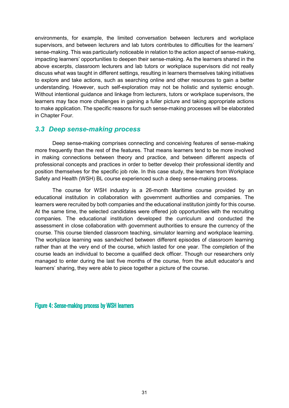environments, for example, the limited conversation between lecturers and workplace supervisors, and between lecturers and lab tutors contributes to difficulties for the learners' sense-making. This was particularly noticeable in relation to the action aspect of sense-making, impacting learners' opportunities to deepen their sense-making. As the learners shared in the above excerpts, classroom lecturers and lab tutors or workplace supervisors did not really discuss what was taught in different settings, resulting in learners themselves taking initiatives to explore and take actions, such as searching online and other resources to gain a better understanding. However, such self-exploration may not be holistic and systemic enough. Without intentional guidance and linkage from lecturers, tutors or workplace supervisors, the learners may face more challenges in gaining a fuller picture and taking appropriate actions to make application. The specific reasons for such sense-making processes will be elaborated in Chapter Four.

### <span id="page-30-0"></span>*3.3 Deep sense-making process*

Deep sense-making comprises connecting and conceiving features of sense-making more frequently than the rest of the features. That means learners tend to be more involved in making connections between theory and practice, and between different aspects of professional concepts and practices in order to better develop their professional identity and position themselves for the specific job role. In this case study, the learners from Workplace Safety and Health (WSH) BL course experienced such a deep sense-making process.

The course for WSH industry is a 26-month Maritime course provided by an educational institution in collaboration with government authorities and companies. The learners were recruited by both companies and the educational institution jointly for this course. At the same time, the selected candidates were offered job opportunities with the recruiting companies. The educational institution developed the curriculum and conducted the assessment in close collaboration with government authorities to ensure the currency of the course. This course blended classroom teaching, simulator learning and workplace learning. The workplace learning was sandwiched between different episodes of classroom learning rather than at the very end of the course, which lasted for one year. The completion of the course leads an individual to become a qualified deck officer. Though our researchers only managed to enter during the last five months of the course, from the adult educator's and learners' sharing, they were able to piece together a picture of the course.

<span id="page-30-1"></span>Figure 4: Sense-making process by WSH learners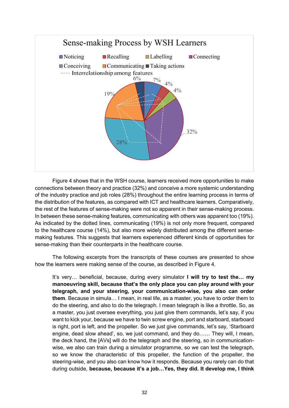

Figure 4 shows that in the WSH course, learners received more opportunities to make connections between theory and practice (32%) and conceive a more systemic understanding of the industry practice and job roles (28%) throughout the entire learning process in terms of the distribution of the features, as compared with ICT and healthcare learners. Comparatively, the rest of the features of sense-making were not so apparent in their sense-making process. In between these sense-making features, communicating with others was apparent too (19%). As indicated by the dotted lines, communicating (19%) is not only more frequent, compared to the healthcare course (14%), but also more widely distributed among the different sensemaking features. This suggests that learners experienced different kinds of opportunities for sense-making than their counterparts in the healthcare course.

The following excerpts from the transcripts of these courses are presented to show how the learners were making sense of the course, as described in Figure 4.

It's very… beneficial, because, during every simulator **I will try to test the… my manoeuvring skill, because that's the only place you can play around with your telegraph, and your steering, your communication-wise, you also can order them**. Because in simula… I mean, in real life, as a master, you have to order them to do the steering, and also to do the telegraph. I mean telegraph is like a throttle. So, as a master, you just oversee everything, you just give them commands, let's say, if you want to kick your, because we have to twin screw engine, port and starboard, starboard is right, port is left, and the propeller. So we just give commands, let's say, 'Starboard engine, dead slow ahead', so, we just command, and they do…… They will, I mean, the deck hand, the [AVs] will do the telegraph and the steering, so in communicationwise, we also can train during a simulator programme, so we can test the telegraph, so we know the characteristic of this propeller, the function of the propeller, the steering-wise, and you also can know how it responds. Because you rarely can do that during outside, **because, because it's a job…Yes, they did. It develop me, I think**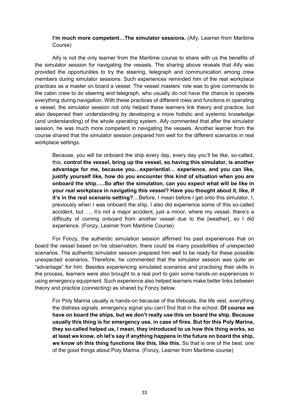#### **I'm much more competent…The simulator sessions.** (Aify, Learner from Maritime Course)

Aify is not the only learner from the Maritime course to share with us the benefits of the simulator session for navigating the vessels. The sharing above reveals that Aify was provided the opportunities to try the steering, telegraph and communication among crew members during simulator sessions. Such experiences reminded him of the real workplace practices as a master on board a vessel. The vessel masters' role was to give commands to the cabin crew to do steering and telegraph, who usually do not have the chance to operate everything during navigation. With these practices of different roles and functions in operating a vessel, the simulator session not only helped these learners link theory and practice, but also deepened their understanding by developing a more holistic and systemic knowledge (and understanding) of the whole operating system. Aify commented that after the simulator session, he was much more competent in navigating the vessels. Another learner from the course shared that the simulator session prepared him well for the different scenarios in real workplace settings.

Because, you will be onboard the ship every day, every day you'll be like, so-called, this, **control the vessel, bring up the vessel, so having this simulator, is another advantage for me, because you…experiential… experience, and you can like, justify yourself like, how do you encounter this kind of situation when you are onboard the ship…..So after the simulation, can you expect what will be like in your real workplace in navigating this vessel? Have you thought about it, like, if it's in the real scenario setting?**....Before, I mean before I get onto this simulator, I, previously when I was onboard the ship, I also did experience some of this so-called accident, but …, it's not a major accident, just a minor, where my vessel, there's a difficulty of coming onboard from another vessel due to the [weather], so I did experience. (Fonzy, Learner from Maritime Course)

For Fonzy, the authentic simulation session affirmed his past experiences that on board the vessel based on his observation, there could be many possibilities of unexpected scenarios. The authentic simulator session prepared him well to be ready for these possible unexpected scenarios. Therefore, he commented that the simulator session was quite an "advantage" for him. Besides experiencing simulated scenarios and practising their skills in the process, learners were also brought to a real port to gain some hands-on experiences in using emergency equipment. Such experience also helped learners make better links between theory and practice (connecting) as shared by Fonzy below.

For Poly Marina usually is hands-on because of the lifeboats, the life vest, everything the distress signals, emergency signal you can't find that in the school. **Of course we have on board the ships, but we don't really use this on board the ship. Because usually this thing is for emergency use, in case of fires. But for this Poly Marina, they so-called helped us, I mean, they introduced to us how this thing works, so at least we know, oh let's say if anything happens in the future on board the ship, we know oh this thing functions like this, like this.** So that is one of the best, one of the good things about Poly Marina. (Fonzy, Learner from Maritime course)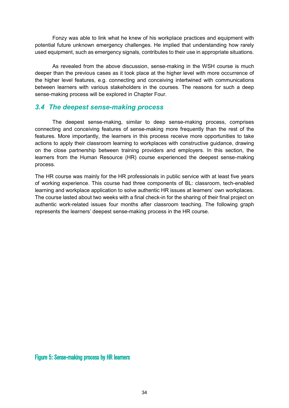Fonzy was able to link what he knew of his workplace practices and equipment with potential future unknown emergency challenges. He implied that understanding how rarely used equipment, such as emergency signals, contributes to their use in appropriate situations.

As revealed from the above discussion, sense-making in the WSH course is much deeper than the previous cases as it took place at the higher level with more occurrence of the higher level features, e.g. connecting and conceiving intertwined with communications between learners with various stakeholders in the courses. The reasons for such a deep sense-making process will be explored in Chapter Four.

# <span id="page-33-0"></span>*3.4 The deepest sense-making process*

The deepest sense-making, similar to deep sense-making process, comprises connecting and conceiving features of sense-making more frequently than the rest of the features. More importantly, the learners in this process receive more opportunities to take actions to apply their classroom learning to workplaces with constructive guidance, drawing on the close partnership between training providers and employers. In this section, the learners from the Human Resource (HR) course experienced the deepest sense-making process.

The HR course was mainly for the HR professionals in public service with at least five years of working experience. This course had three components of BL: classroom, tech-enabled learning and workplace application to solve authentic HR issues at learners' own workplaces. The course lasted about two weeks with a final check-in for the sharing of their final project on authentic work-related issues four months after classroom teaching. The following graph represents the learners' deepest sense-making process in the HR course.

<span id="page-33-1"></span>Figure 5: Sense-making process by HR learners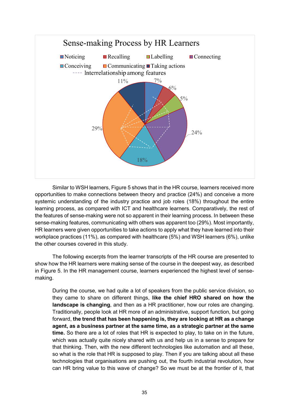

Similar to WSH learners, Figure 5 shows that in the HR course, learners received more opportunities to make connections between theory and practice (24%) and conceive a more systemic understanding of the industry practice and job roles (18%) throughout the entire learning process, as compared with ICT and healthcare learners. Comparatively, the rest of the features of sense-making were not so apparent in their learning process. In between these sense-making features, communicating with others was apparent too (29%). Most importantly, HR learners were given opportunities to take actions to apply what they have learned into their workplace practices (11%), as compared with healthcare (5%) and WSH learners (6%), unlike the other courses covered in this study.

The following excerpts from the learner transcripts of the HR course are presented to show how the HR learners were making sense of the course in the deepest way, as described in Figure 5. In the HR management course, learners experienced the highest level of sensemaking.

During the course, we had quite a lot of speakers from the public service division, so they came to share on different things, **like the chief HRO shared on how the landscape is changing**, and then as a HR practitioner, how our roles are changing. Traditionally, people look at HR more of an administrative, support function, but going forward, **the trend that has been happening is, they are looking at HR as a change agent, as a business partner at the same time, as a strategic partner at the same time.** So there are a lot of roles that HR is expected to play, to take on in the future, which was actually quite nicely shared with us and help us in a sense to prepare for that thinking. Then, with the new different technologies like automation and all these, so what is the role that HR is supposed to play. Then if you are talking about all these technologies that organisations are pushing out, the fourth industrial revolution, how can HR bring value to this wave of change? So we must be at the frontier of it, that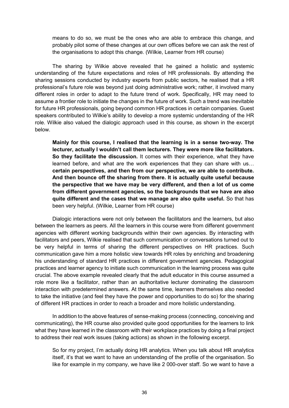means to do so, we must be the ones who are able to embrace this change, and probably pilot some of these changes at our own offices before we can ask the rest of the organisations to adopt this change. (Wilkie, Learner from HR course)

The sharing by Wilkie above revealed that he gained a holistic and systemic understanding of the future expectations and roles of HR professionals. By attending the sharing sessions conducted by industry experts from public sectors, he realised that a HR professional's future role was beyond just doing administrative work; rather, it involved many different roles in order to adapt to the future trend of work. Specifically, HR may need to assume a frontier role to initiate the changes in the future of work. Such a trend was inevitable for future HR professionals, going beyond common HR practices in certain companies. Guest speakers contributed to Wilkie's ability to develop a more systemic understanding of the HR role. Wilkie also valued the dialogic approach used in this course, as shown in the excerpt below.

**Mainly for this course, I realised that the learning is in a sense two-way. The lecturer, actually I wouldn't call them lecturers. They were more like facilitators. So they facilitate the discussion.** It comes with their experience, what they have learned before, and what are the work experiences that they can share with us… **certain perspectives, and then from our perspective, we are able to contribute. And then bounce off the sharing from there. It is actually quite useful because the perspective that we have may be very different, and then a lot of us come from different government agencies, so the backgrounds that we have are also quite different and the cases that we manage are also quite useful.** So that has been very helpful. (Wilkie, Learner from HR course)

Dialogic interactions were not only between the facilitators and the learners, but also between the learners as peers. All the learners in this course were from different government agencies with different working backgrounds within their own agencies. By interacting with facilitators and peers, Wilkie realised that such communication or conversations turned out to be very helpful in terms of sharing the different perspectives on HR practices. Such communication gave him a more holistic view towards HR roles by enriching and broadening his understanding of standard HR practices in different government agencies. Pedagogical practices and learner agency to initiate such communication in the learning process was quite crucial. The above example revealed clearly that the adult educator in this course assumed a role more like a facilitator, rather than an authoritative lecturer dominating the classroom interaction with predetermined answers. At the same time, learners themselves also needed to take the initiative (and feel they have the power and opportunities to do so) for the sharing of different HR practices in order to reach a broader and more holistic understanding.

In addition to the above features of sense-making process (connecting, conceiving and communicating), the HR course also provided quite good opportunities for the learners to link what they have learned in the classroom with their workplace practices by doing a final project to address their real work issues (taking actions) as shown in the following excerpt.

So for my project, I'm actually doing HR analytics. When you talk about HR analytics itself, it's that we want to have an understanding of the profile of the organisation. So like for example in my company, we have like 2 000-over staff. So we want to have a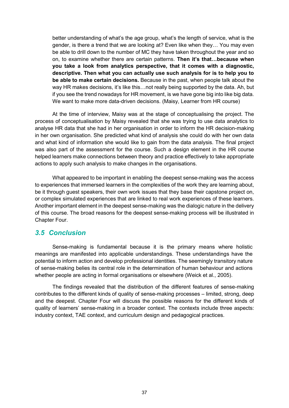better understanding of what's the age group, what's the length of service, what is the gender, is there a trend that we are looking at? Even like when they… You may even be able to drill down to the number of MC they have taken throughout the year and so on, to examine whether there are certain patterns. **Then it's that…because when you take a look from analytics perspective, that it comes with a diagnostic, descriptive. Then what you can actually use such analysis for is to help you to be able to make certain decisions.** Because in the past, when people talk about the way HR makes decisions, it's like this...not really being supported by the data. Ah, but if you see the trend nowadays for HR movement, is we have gone big into like big data. We want to make more data-driven decisions. (Maisy, Learner from HR course)

At the time of interview, Maisy was at the stage of conceptualising the project. The process of conceptualisation by Maisy revealed that she was trying to use data analytics to analyse HR data that she had in her organisation in order to inform the HR decision-making in her own organisation. She predicted what kind of analysis she could do with her own data and what kind of information she would like to gain from the data analysis. The final project was also part of the assessment for the course. Such a design element in the HR course helped learners make connections between theory and practice effectively to take appropriate actions to apply such analysis to make changes in the organisations.

What appeared to be important in enabling the deepest sense-making was the access to experiences that immersed learners in the complexities of the work they are learning about, be it through guest speakers, their own work issues that they base their capstone project on, or complex simulated experiences that are linked to real work experiences of these learners. Another important element in the deepest sense-making was the dialogic nature in the delivery of this course. The broad reasons for the deepest sense-making process will be illustrated in Chapter Four.

### <span id="page-36-0"></span>*3.5 Conclusion*

Sense-making is fundamental because it is the primary means where holistic meanings are manifested into applicable understandings. These understandings have the potential to inform action and develop professional identities. The seemingly transitory nature of sense-making belies its central role in the determination of human behaviour and actions whether people are acting in formal organisations or elsewhere (Weick et al., 2005).

The findings revealed that the distribution of the different features of sense-making contributes to the different kinds of quality of sense-making processes – limited, strong, deep and the deepest. Chapter Four will discuss the possible reasons for the different kinds of quality of learners' sense-making in a broader context. The contexts include three aspects: industry context, TAE context, and curriculum design and pedagogical practices.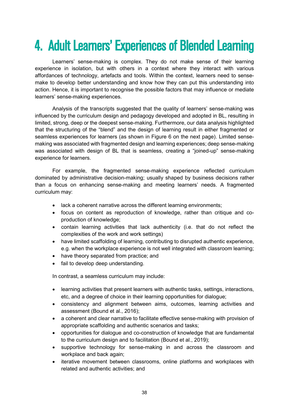# <span id="page-37-0"></span>4. Adult Learners' Experiences of Blended Learning

Learners' sense-making is complex. They do not make sense of their learning experience in isolation, but with others in a context where they interact with various affordances of technology, artefacts and tools. Within the context, learners need to sensemake to develop better understanding and know how they can put this understanding into action. Hence, it is important to recognise the possible factors that may influence or mediate learners' sense-making experiences.

Analysis of the transcripts suggested that the quality of learners' sense-making was influenced by the curriculum design and pedagogy developed and adopted in BL, resulting in limited, strong, deep or the deepest sense-making. Furthermore, our data analysis highlighted that the structuring of the "blend" and the design of learning result in either fragmented or seamless experiences for learners (as shown in Figure 6 on the next page). Limited sensemaking was associated with fragmented design and learning experiences; deep sense-making was associated with design of BL that is seamless, creating a "joined-up" sense-making experience for learners.

For example, the fragmented sense-making experience reflected curriculum dominated by administrative decision-making; usually shaped by business decisions rather than a focus on enhancing sense-making and meeting learners' needs. A fragmented curriculum may:

- lack a coherent narrative across the different learning environments;
- focus on content as reproduction of knowledge, rather than critique and coproduction of knowledge;
- contain learning activities that lack authenticity (i.e. that do not reflect the complexities of the work and work settings)
- have limited scaffolding of learning, contributing to disrupted authentic experience, e.g. when the workplace experience is not well integrated with classroom learning;
- have theory separated from practice; and
- fail to develop deep understanding.

In contrast, a seamless curriculum may include:

- learning activities that present learners with authentic tasks, settings, interactions, etc, and a degree of choice in their learning opportunities for dialogue;
- consistency and alignment between aims, outcomes, learning activities and assessment (Bound et al., 2016);
- a coherent and clear narrative to facilitate effective sense-making with provision of appropriate scaffolding and authentic scenarios and tasks;
- opportunities for dialogue and co-construction of knowledge that are fundamental to the curriculum design and to facilitation (Bound et al., 2019);
- supportive technology for sense-making in and across the classroom and workplace and back again;
- iterative movement between classrooms, online platforms and workplaces with related and authentic activities; and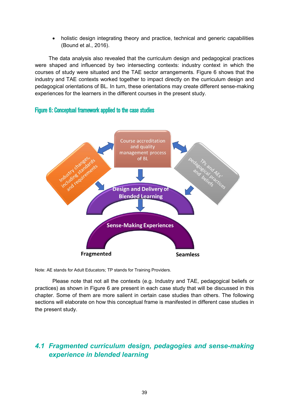holistic design integrating theory and practice, technical and generic capabilities (Bound et al., 2016).

The data analysis also revealed that the curriculum design and pedagogical practices were shaped and influenced by two intersecting contexts: industry context in which the courses of study were situated and the TAE sector arrangements. Figure 6 shows that the industry and TAE contexts worked together to impact directly on the curriculum design and pedagogical orientations of BL. In turn, these orientations may create different sense-making experiences for the learners in the different courses in the present study.

### <span id="page-38-1"></span>Figure 6: Conceptual framework applied to the case studies



Note: AE stands for Adult Educators; TP stands for Training Providers.

Please note that not all the contexts (e.g. Industry and TAE, pedagogical beliefs or practices) as shown in Figure 6 are present in each case study that will be discussed in this chapter. Some of them are more salient in certain case studies than others. The following sections will elaborate on how this conceptual frame is manifested in different case studies in the present study.

# <span id="page-38-0"></span>*4.1 Fragmented curriculum design, pedagogies and sense-making experience in blended learning*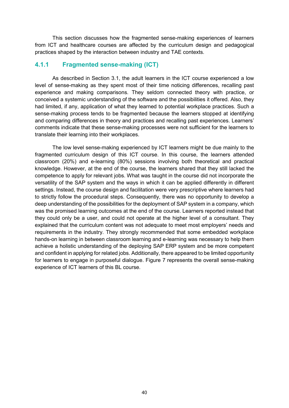This section discusses how the fragmented sense-making experiences of learners from ICT and healthcare courses are affected by the curriculum design and pedagogical practices shaped by the interaction between industry and TAE contexts.

### **4.1.1 Fragmented sense-making (ICT)**

As described in Section 3.1, the adult learners in the ICT course experienced a low level of sense-making as they spent most of their time noticing differences, recalling past experience and making comparisons. They seldom connected theory with practice, or conceived a systemic understanding of the software and the possibilities it offered. Also, they had limited, if any, application of what they learned to potential workplace practices. Such a sense-making process tends to be fragmented because the learners stopped at identifying and comparing differences in theory and practices and recalling past experiences. Learners' comments indicate that these sense-making processes were not sufficient for the learners to translate their learning into their workplaces.

The low level sense-making experienced by ICT learners might be due mainly to the fragmented curriculum design of this ICT course. In this course, the learners attended classroom (20%) and e-learning (80%) sessions involving both theoretical and practical knowledge. However, at the end of the course, the learners shared that they still lacked the competence to apply for relevant jobs. What was taught in the course did not incorporate the versatility of the SAP system and the ways in which it can be applied differently in different settings. Instead, the course design and facilitation were very prescriptive where learners had to strictly follow the procedural steps. Consequently, there was no opportunity to develop a deep understanding of the possibilities for the deployment of SAP system in a company, which was the promised learning outcomes at the end of the course. Learners reported instead that they could only be a user, and could not operate at the higher level of a consultant. They explained that the curriculum content was not adequate to meet most employers' needs and requirements in the industry. They strongly recommended that some embedded workplace hands-on learning in between classroom learning and e-learning was necessary to help them achieve a holistic understanding of the deploying SAP ERP system and be more competent and confident in applying for related jobs. Additionally, there appeared to be limited opportunity for learners to engage in purposeful dialogue. Figure 7 represents the overall sense-making experience of ICT learners of this BL course.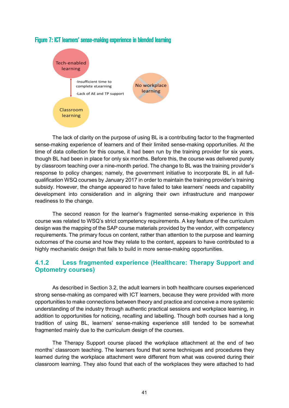

### <span id="page-40-0"></span>Figure 7: ICT learners' sense-making experience in blended learning

The lack of clarity on the purpose of using BL is a contributing factor to the fragmented sense-making experience of learners and of their limited sense-making opportunities. At the time of data collection for this course, it had been run by the training provider for six years, though BL had been in place for only six months. Before this, the course was delivered purely by classroom teaching over a nine-month period. The change to BL was the training provider's response to policy changes; namely, the government initiative to incorporate BL in all fullqualification WSQ courses by January 2017 in order to maintain the training provider's training subsidy. However, the change appeared to have failed to take learners' needs and capability development into consideration and in aligning their own infrastructure and manpower readiness to the change.

The second reason for the learner's fragmented sense-making experience in this course was related to WSQ's strict competency requirements. A key feature of the curriculum design was the mapping of the SAP course materials provided by the vendor, with competency requirements. The primary focus on content, rather than attention to the purpose and learning outcomes of the course and how they relate to the content, appears to have contributed to a highly mechanistic design that fails to build in more sense-making opportunities.

### **4.1.2 Less fragmented experience (Healthcare: Therapy Support and Optometry courses)**

As described in Section 3.2, the adult learners in both healthcare courses experienced strong sense-making as compared with ICT learners, because they were provided with more opportunities to make connections between theory and practice and conceive a more systemic understanding of the industry through authentic practical sessions and workplace learning, in addition to opportunities for noticing, recalling and labelling. Though both courses had a long tradition of using BL, learners' sense-making experience still tended to be somewhat fragmented mainly due to the curriculum design of the courses.

The Therapy Support course placed the workplace attachment at the end of two months' classroom teaching. The learners found that some techniques and procedures they learned during the workplace attachment were different from what was covered during their classroom learning. They also found that each of the workplaces they were attached to had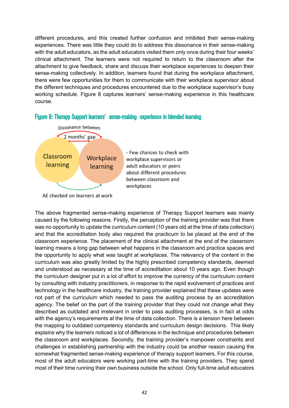different procedures, and this created further confusion and inhibited their sense-making experiences. There was little they could do to address this dissonance in their sense-making with the adult educators, as the adult educators visited them only once during their four weeks' clinical attachment. The learners were not required to return to the classroom after the attachment to give feedback, share and discuss their workplace experiences to deepen their sense-making collectively. In addition, learners found that during the workplace attachment, there were few opportunities for them to communicate with their workplace supervisor about the different techniques and procedures encountered due to the workplace supervisor's busy working schedule. Figure 8 captures learners' sense-making experience in this healthcare course.



#### <span id="page-41-0"></span>Figure 8: Therapy Support learners' sense-making experience in blended learning

The above fragmented sense-making experience of Therapy Support learners was mainly caused by the following reasons. Firstly, the perception of the training provider was that there was no opportunity to update the curriculum content (10 years old at the time of data collection) and that the accreditation body also required the practicum to be placed at the end of the classroom experience. The placement of the clinical attachment at the end of the classroom learning means a long gap between what happens in the classroom and practice spaces and the opportunity to apply what was taught at workplaces. The relevancy of the content in the curriculum was also greatly limited by the highly prescribed competency standards, deemed and understood as necessary at the time of accreditation about 10 years ago. Even though the curriculum designer put in a lot of effort to improve the currency of the curriculum content by consulting with industry practitioners, in response to the rapid evolvement of practices and technology in the healthcare industry, the training provider explained that these updates were not part of the curriculum which needed to pass the auditing process by an accreditation agency. The belief on the part of the training provider that they could not change what they described as outdated and irrelevant in order to pass auditing processes, is in fact at odds with the agency's requirements at the time of data collection. There is a tension here between the mapping to outdated competency standards and curriculum design decisions. This likely explains why the learners noticed a lot of differences in the technique and procedures between the classroom and workplaces. Secondly, the training provider's manpower constraints and challenges in establishing partnership with the industry could be another reason causing the somewhat fragmented sense-making experience of therapy support learners. For this course, most of the adult educators were working part-time with the training providers. They spend most of their time running their own business outside the school. Only full-time adult educators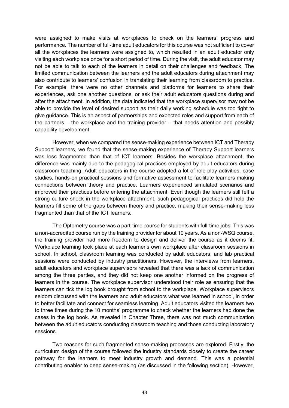were assigned to make visits at workplaces to check on the learners' progress and performance. The number of full-time adult educators for this course was not sufficient to cover all the workplaces the learners were assigned to, which resulted in an adult educator only visiting each workplace once for a short period of time. During the visit, the adult educator may not be able to talk to each of the learners in detail on their challenges and feedback. The limited communication between the learners and the adult educators during attachment may also contribute to learners' confusion in translating their learning from classroom to practice. For example, there were no other channels and platforms for learners to share their experiences, ask one another questions, or ask their adult educators questions during and after the attachment. In addition, the data indicated that the workplace supervisor may not be able to provide the level of desired support as their daily working schedule was too tight to give guidance. This is an aspect of partnerships and expected roles and support from each of the partners – the workplace and the training provider – that needs attention and possibly capability development.

However, when we compared the sense-making experience between ICT and Therapy Support learners, we found that the sense-making experience of Therapy Support learners was less fragmented than that of ICT learners. Besides the workplace attachment, the difference was mainly due to the pedagogical practices employed by adult educators during classroom teaching. Adult educators in the course adopted a lot of role-play activities, case studies, hands-on practical sessions and formative assessment to facilitate learners making connections between theory and practice. Learners experienced simulated scenarios and improved their practices before entering the attachment. Even though the learners still felt a strong culture shock in the workplace attachment, such pedagogical practices did help the learners fill some of the gaps between theory and practice, making their sense-making less fragmented than that of the ICT learners.

The Optometry course was a part-time course for students with full-time jobs. This was a non-accredited course run by the training provider for about 10 years. As a non-WSQ course, the training provider had more freedom to design and deliver the course as it deems fit. Workplace learning took place at each learner's own workplace after classroom sessions in school. In school, classroom learning was conducted by adult educators, and lab practical sessions were conducted by industry practitioners. However, the interviews from learners, adult educators and workplace supervisors revealed that there was a lack of communication among the three parties, and they did not keep one another informed on the progress of learners in the course. The workplace supervisor understood their role as ensuring that the learners can tick the log book brought from school to the workplace. Workplace supervisors seldom discussed with the learners and adult educators what was learned in school, in order to better facilitate and connect for seamless learning. Adult educators visited the learners two to three times during the 10 months' programme to check whether the learners had done the cases in the log book. As revealed in Chapter Three, there was not much communication between the adult educators conducting classroom teaching and those conducting laboratory sessions.

Two reasons for such fragmented sense-making processes are explored. Firstly, the curriculum design of the course followed the industry standards closely to create the career pathway for the learners to meet industry growth and demand. This was a potential contributing enabler to deep sense-making (as discussed in the following section). However,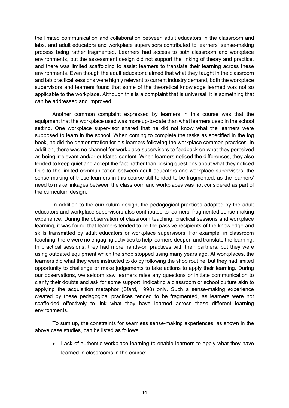the limited communication and collaboration between adult educators in the classroom and labs, and adult educators and workplace supervisors contributed to learners' sense-making process being rather fragmented. Learners had access to both classroom and workplace environments, but the assessment design did not support the linking of theory and practice, and there was limited scaffolding to assist learners to translate their learning across these environments. Even though the adult educator claimed that what they taught in the classroom and lab practical sessions were highly relevant to current industry demand, both the workplace supervisors and learners found that some of the theoretical knowledge learned was not so applicable to the workplace. Although this is a complaint that is universal, it is something that can be addressed and improved.

Another common complaint expressed by learners in this course was that the equipment that the workplace used was more up-to-date than what learners used in the school setting. One workplace supervisor shared that he did not know what the learners were supposed to learn in the school. When coming to complete the tasks as specified in the log book, he did the demonstration for his learners following the workplace common practices. In addition, there was no channel for workplace supervisors to feedback on what they perceived as being irrelevant and/or outdated content. When learners noticed the differences, they also tended to keep quiet and accept the fact, rather than posing questions about what they noticed. Due to the limited communication between adult educators and workplace supervisors, the sense-making of these learners in this course still tended to be fragmented, as the learners' need to make linkages between the classroom and workplaces was not considered as part of the curriculum design.

In addition to the curriculum design, the pedagogical practices adopted by the adult educators and workplace supervisors also contributed to learners' fragmented sense-making experience. During the observation of classroom teaching, practical sessions and workplace learning, it was found that learners tended to be the passive recipients of the knowledge and skills transmitted by adult educators or workplace supervisors. For example, in classroom teaching, there were no engaging activities to help learners deepen and translate the learning. In practical sessions, they had more hands-on practices with their partners, but they were using outdated equipment which the shop stopped using many years ago. At workplaces, the learners did what they were instructed to do by following the shop routine, but they had limited opportunity to challenge or make judgements to take actions to apply their learning. During our observations, we seldom saw learners raise any questions or initiate communication to clarify their doubts and ask for some support, indicating a classroom or school culture akin to applying the acquisition metaphor (Sfard, 1998) only. Such a sense-making experience created by these pedagogical practices tended to be fragmented, as learners were not scaffolded effectively to link what they have learned across these different learning environments.

To sum up, the constraints for seamless sense-making experiences, as shown in the above case studies, can be listed as follows:

• Lack of authentic workplace learning to enable learners to apply what they have learned in classrooms in the course;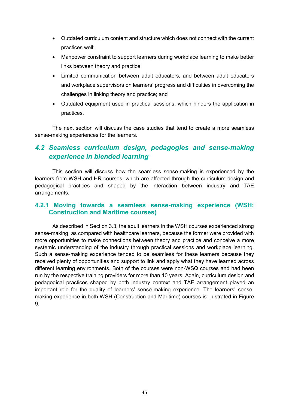- Outdated curriculum content and structure which does not connect with the current practices well;
- Manpower constraint to support learners during workplace learning to make better links between theory and practice;
- Limited communication between adult educators, and between adult educators and workplace supervisors on learners' progress and difficulties in overcoming the challenges in linking theory and practice; and
- Outdated equipment used in practical sessions, which hinders the application in practices.

The next section will discuss the case studies that tend to create a more seamless sense-making experiences for the learners.

# <span id="page-44-0"></span>*4.2 Seamless curriculum design, pedagogies and sense-making experience in blended learning*

This section will discuss how the seamless sense-making is experienced by the learners from WSH and HR courses, which are affected through the curriculum design and pedagogical practices and shaped by the interaction between industry and TAE arrangements.

### **4.2.1 Moving towards a seamless sense-making experience (WSH: Construction and Maritime courses)**

As described in Section 3.3, the adult learners in the WSH courses experienced strong sense-making, as compared with healthcare learners, because the former were provided with more opportunities to make connections between theory and practice and conceive a more systemic understanding of the industry through practical sessions and workplace learning. Such a sense-making experience tended to be seamless for these learners because they received plenty of opportunities and support to link and apply what they have learned across different learning environments. Both of the courses were non-WSQ courses and had been run by the respective training providers for more than 10 years. Again, curriculum design and pedagogical practices shaped by both industry context and TAE arrangement played an important role for the quality of learners' sense-making experience. The learners' sensemaking experience in both WSH (Construction and Maritime) courses is illustrated in Figure 9.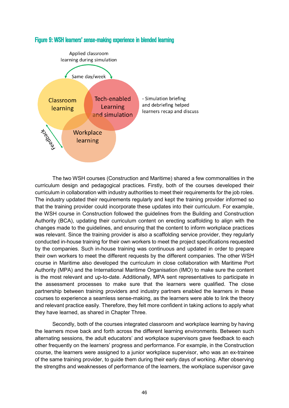

### <span id="page-45-0"></span>Figure 9: WSH learners' sense-making experience in blended learning

The two WSH courses (Construction and Maritime) shared a few commonalities in the curriculum design and pedagogical practices. Firstly, both of the courses developed their curriculum in collaboration with industry authorities to meet their requirements for the job roles. The industry updated their requirements regularly and kept the training provider informed so that the training provider could incorporate these updates into their curriculum. For example, the WSH course in Construction followed the guidelines from the Building and Construction Authority (BCA), updating their curriculum content on erecting scaffolding to align with the changes made to the guidelines, and ensuring that the content to inform workplace practices was relevant. Since the training provider is also a scaffolding service provider, they regularly conducted in-house training for their own workers to meet the project specifications requested by the companies. Such in-house training was continuous and updated in order to prepare their own workers to meet the different requests by the different companies. The other WSH course in Maritime also developed the curriculum in close collaboration with Maritime Port Authority (MPA) and the International Maritime Organisation (IMO) to make sure the content is the most relevant and up-to-date. Additionally, MPA sent representatives to participate in the assessment processes to make sure that the learners were qualified. The close partnership between training providers and industry partners enabled the learners in these courses to experience a seamless sense-making, as the learners were able to link the theory and relevant practice easily. Therefore, they felt more confident in taking actions to apply what they have learned, as shared in Chapter Three.

Secondly, both of the courses integrated classroom and workplace learning by having the learners move back and forth across the different learning environments. Between such alternating sessions, the adult educators' and workplace supervisors gave feedback to each other frequently on the learners' progress and performance. For example, in the Construction course, the learners were assigned to a junior workplace supervisor, who was an ex-trainee of the same training provider, to guide them during their early days of working. After observing the strengths and weaknesses of performance of the learners, the workplace supervisor gave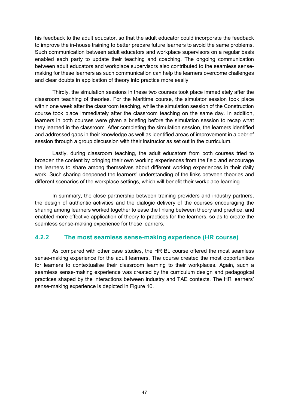his feedback to the adult educator, so that the adult educator could incorporate the feedback to improve the in-house training to better prepare future learners to avoid the same problems. Such communication between adult educators and workplace supervisors on a regular basis enabled each party to update their teaching and coaching. The ongoing communication between adult educators and workplace supervisors also contributed to the seamless sensemaking for these learners as such communication can help the learners overcome challenges and clear doubts in application of theory into practice more easily.

Thirdly, the simulation sessions in these two courses took place immediately after the classroom teaching of theories. For the Maritime course, the simulator session took place within one week after the classroom teaching, while the simulation session of the Construction course took place immediately after the classroom teaching on the same day. In addition, learners in both courses were given a briefing before the simulation session to recap what they learned in the classroom. After completing the simulation session, the learners identified and addressed gaps in their knowledge as well as identified areas of improvement in a debrief session through a group discussion with their instructor as set out in the curriculum.

Lastly, during classroom teaching, the adult educators from both courses tried to broaden the content by bringing their own working experiences from the field and encourage the learners to share among themselves about different working experiences in their daily work. Such sharing deepened the learners' understanding of the links between theories and different scenarios of the workplace settings, which will benefit their workplace learning.

In summary, the close partnership between training providers and industry partners, the design of authentic activities and the dialogic delivery of the courses encouraging the sharing among learners worked together to ease the linking between theory and practice, and enabled more effective application of theory to practices for the learners, so as to create the seamless sense-making experience for these learners.

### **4.2.2 The most seamless sense-making experience (HR course)**

As compared with other case studies, the HR BL course offered the most seamless sense-making experience for the adult learners. The course created the most opportunities for learners to contextualise their classroom learning to their workplaces. Again, such a seamless sense-making experience was created by the curriculum design and pedagogical practices shaped by the interactions between industry and TAE contexts. The HR learners' sense-making experience is depicted in Figure 10.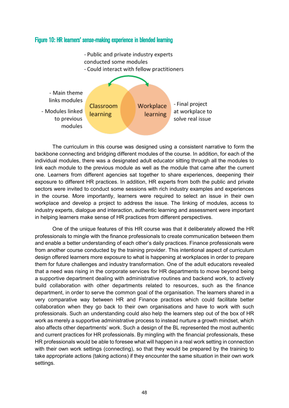# <span id="page-47-0"></span>Figure 10: HR learners' sense-making experience in blended learning - Public and private industry experts conducted some modules - Could interact with fellow practitioners



The curriculum in this course was designed using a consistent narrative to form the backbone connecting and bridging different modules of the course. In addition, for each of the individual modules, there was a designated adult educator sitting through all the modules to link each module to the previous module as well as the module that came after the current one. Learners from different agencies sat together to share experiences, deepening their exposure to different HR practices. In addition, HR experts from both the public and private sectors were invited to conduct some sessions with rich industry examples and experiences in the course. More importantly, learners were required to select an issue in their own workplace and develop a project to address the issue. The linking of modules, access to industry experts, dialogue and interaction, authentic learning and assessment were important in helping learners make sense of HR practices from different perspectives.

One of the unique features of this HR course was that it deliberately allowed the HR professionals to mingle with the finance professionals to create communication between them and enable a better understanding of each other's daily practices. Finance professionals were from another course conducted by the training provider. This intentional aspect of curriculum design offered learners more exposure to what is happening at workplaces in order to prepare them for future challenges and industry transformation. One of the adult educators revealed that a need was rising in the corporate services for HR departments to move beyond being a supportive department dealing with administrative routines and backend work, to actively build collaboration with other departments related to resources, such as the finance department, in order to serve the common goal of the organisation. The learners shared in a very comparative way between HR and Finance practices which could facilitate better collaboration when they go back to their own organisations and have to work with such professionals. Such an understanding could also help the learners step out of the box of HR work as merely a supportive administrative process to instead nurture a growth mindset, which also affects other departments' work. Such a design of the BL represented the most authentic and current practices for HR professionals. By mingling with the financial professionals, these HR professionals would be able to foresee what will happen in a real work setting in connection with their own work settings (connecting), so that they would be prepared by the training to take appropriate actions (taking actions) if they encounter the same situation in their own work settings.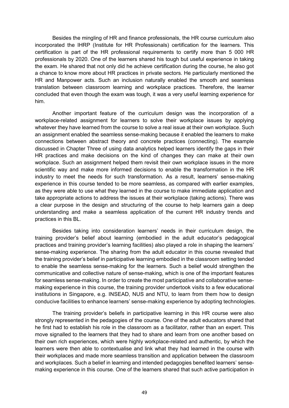Besides the mingling of HR and finance professionals, the HR course curriculum also incorporated the IHRP (Institute for HR Professionals) certification for the learners. This certification is part of the HR professional requirements to certify more than 5 000 HR professionals by 2020. One of the learners shared his tough but useful experience in taking the exam. He shared that not only did he achieve certification during the course, he also got a chance to know more about HR practices in private sectors. He particularly mentioned the HR and Manpower acts. Such an inclusion naturally enabled the smooth and seamless translation between classroom learning and workplace practices. Therefore, the learner concluded that even though the exam was tough, it was a very useful learning experience for him.

Another important feature of the curriculum design was the incorporation of a workplace-related assignment for learners to solve their workplace issues by applying whatever they have learned from the course to solve a real issue at their own workplace. Such an assignment enabled the seamless sense-making because it enabled the learners to make connections between abstract theory and concrete practices (connecting). The example discussed in Chapter Three of using data analytics helped learners identify the gaps in their HR practices and make decisions on the kind of changes they can make at their own workplace. Such an assignment helped them revisit their own workplace issues in the more scientific way and make more informed decisions to enable the transformation in the HR industry to meet the needs for such transformation. As a result, learners' sense-making experience in this course tended to be more seamless, as compared with earlier examples, as they were able to use what they learned in the course to make immediate application and take appropriate actions to address the issues at their workplace (taking actions). There was a clear purpose in the design and structuring of the course to help learners gain a deep understanding and make a seamless application of the current HR industry trends and practices in this BL.

Besides taking into consideration learners' needs in their curriculum design, the training provider's belief about learning (embodied in the adult educator's pedagogical practices and training provider's learning facilities) also played a role in shaping the learners' sense-making experience. The sharing from the adult educator in this course revealed that the training provider's belief in participative learning embodied in the classroom setting tended to enable the seamless sense-making for the learners. Such a belief would strengthen the communicative and collective nature of sense-making, which is one of the important features for seamless sense-making. In order to create the most participative and collaborative sensemaking experience in this course, the training provider undertook visits to a few educational institutions in Singapore, e.g. INSEAD, NUS and NTU, to learn from them how to design conducive facilities to enhance learners' sense-making experience by adopting technologies.

The training provider's beliefs in participative learning in this HR course were also strongly represented in the pedagogies of the course. One of the adult educators shared that he first had to establish his role in the classroom as a facilitator, rather than an expert. This move signalled to the learners that they had to share and learn from one another based on their own rich experiences, which were highly workplace-related and authentic, by which the learners were then able to contextualise and link what they had learned in the course with their workplaces and made more seamless transition and application between the classroom and workplaces. Such a belief in learning and intended pedagogies benefited learners' sensemaking experience in this course. One of the learners shared that such active participation in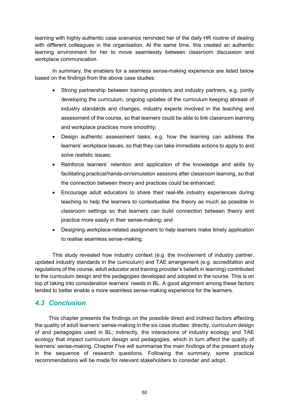learning with highly authentic case scenarios reminded her of the daily HR routine of dealing with different colleagues in the organisation. At the same time, this created an authentic learning environment for her to move seamlessly between classroom discussion and workplace communication.

In summary, the enablers for a seamless sense-making experience are listed below based on the findings from the above case studies:

- Strong partnership between training providers and industry partners, e.g. jointly developing the curriculum, ongoing updates of the curriculum keeping abreast of industry standards and changes, industry experts involved in the teaching and assessment of the course, so that learners could be able to link classroom learning and workplace practices more smoothly;
- Design authentic assessment tasks, e.g. how the learning can address the learners' workplace issues, so that they can take immediate actions to apply to and solve realistic issues;
- Reinforce learners' retention and application of the knowledge and skills by facilitating practical/hands-on/simulation sessions after classroom learning, so that the connection between theory and practices could be enhanced;
- Encourage adult educators to share their real-life industry experiences during teaching to help the learners to contextualise the theory as much as possible in classroom settings so that learners can build connection between theory and practice more easily in their sense-making; and
- Designing workplace-related assignment to help learners make timely application to realise seamless sense-making.

This study revealed how industry context (e.g. the involvement of industry partner, updated industry standards in the curriculum) and TAE arrangement (e.g. accreditation and regulations of the course, adult educator and training provider's beliefs in learning) contributed to the curriculum design and the pedagogies developed and adopted in the course. This is on top of taking into consideration learners' needs in BL. A good alignment among these factors tended to better enable a more seamless sense-making experience for the learners.

# <span id="page-49-0"></span>*4.3 Conclusion*

This chapter presents the findings on the possible direct and indirect factors affecting the quality of adult learners' sense-making in the six case studies: directly, curriculum design of and pedagogies used in BL; indirectly, the interactions of industry ecology and TAE ecology that impact curriculum design and pedagogies, which in turn affect the quality of learners' sense-making. Chapter Five will summarise the main findings of the present study in the sequence of research questions. Following the summary, some practical recommendations will be made for relevant stakeholders to consider and adopt.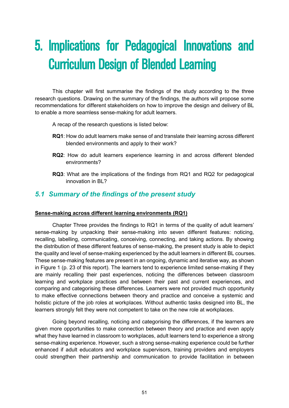# <span id="page-50-0"></span>5. Implications for Pedagogical Innovations and Curriculum Design of Blended Learning

This chapter will first summarise the findings of the study according to the three research questions. Drawing on the summary of the findings, the authors will propose some recommendations for different stakeholders on how to improve the design and delivery of BL to enable a more seamless sense-making for adult learners.

A recap of the research questions is listed below:

- **RQ1**: How do adult learners make sense of and translate their learning across different blended environments and apply to their work?
- **RQ2**: How do adult learners experience learning in and across different blended environments?
- **RQ3**: What are the implications of the findings from RQ1 and RQ2 for pedagogical innovation in BL?

# <span id="page-50-1"></span>*5.1 Summary of the findings of the present study*

#### **Sense-making across different learning environments (RQ1)**

Chapter Three provides the findings to RQ1 in terms of the quality of adult learners' sense-making by unpacking their sense-making into seven different features: noticing, recalling, labelling, communicating, conceiving, connecting, and taking actions. By showing the distribution of these different features of sense-making, the present study is able to depict the quality and level of sense-making experienced by the adult learners in different BL courses. These sense-making features are present in an ongoing, dynamic and iterative way, as shown in Figure 1 (p. 23 of this report). The learners tend to experience limited sense-making if they are mainly recalling their past experiences, noticing the differences between classroom learning and workplace practices and between their past and current experiences, and comparing and categorising these differences. Learners were not provided much opportunity to make effective connections between theory and practice and conceive a systemic and holistic picture of the job roles at workplaces. Without authentic tasks designed into BL, the learners strongly felt they were not competent to take on the new role at workplaces.

Going beyond recalling, noticing and categorising the differences, if the learners are given more opportunities to make connection between theory and practice and even apply what they have learned in classroom to workplaces, adult learners tend to experience a strong sense-making experience. However, such a strong sense-making experience could be further enhanced if adult educators and workplace supervisors, training providers and employers could strengthen their partnership and communication to provide facilitation in between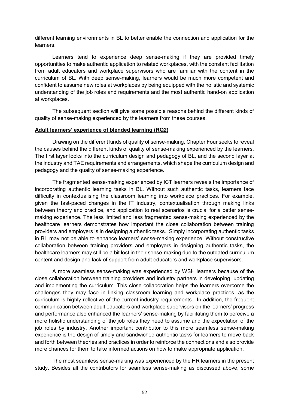different learning environments in BL to better enable the connection and application for the **learners** 

Learners tend to experience deep sense-making if they are provided timely opportunities to make authentic application to related workplaces, with the constant facilitation from adult educators and workplace supervisors who are familiar with the content in the curriculum of BL. With deep sense-making, learners would be much more competent and confident to assume new roles at workplaces by being equipped with the holistic and systemic understanding of the job roles and requirements and the most authentic hand-on application at workplaces.

The subsequent section will give some possible reasons behind the different kinds of quality of sense-making experienced by the learners from these courses.

#### **Adult learners' experience of blended learning (RQ2)**

Drawing on the different kinds of quality of sense-making, Chapter Four seeks to reveal the causes behind the different kinds of quality of sense-making experienced by the learners. The first layer looks into the curriculum design and pedagogy of BL, and the second layer at the industry and TAE requirements and arrangements, which shape the curriculum design and pedagogy and the quality of sense-making experience.

The fragmented sense-making experienced by ICT learners reveals the importance of incorporating authentic learning tasks in BL. Without such authentic tasks, learners face difficulty in contextualising the classroom learning into workplace practices. For example, given the fast-paced changes in the IT industry, contextualisation through making links between theory and practice, and application to real scenarios is crucial for a better sensemaking experience. The less limited and less fragmented sense-making experienced by the healthcare learners demonstrates how important the close collaboration between training providers and employers is in designing authentic tasks. Simply incorporating authentic tasks in BL may not be able to enhance learners' sense-making experience. Without constructive collaboration between training providers and employers in designing authentic tasks, the healthcare learners may still be a bit lost in their sense-making due to the outdated curriculum content and design and lack of support from adult educators and workplace supervisors.

A more seamless sense-making was experienced by WSH learners because of the close collaboration between training providers and industry partners in developing, updating and implementing the curriculum. This close collaboration helps the learners overcome the challenges they may face in linking classroom learning and workplace practices, as the curriculum is highly reflective of the current industry requirements. In addition, the frequent communication between adult educators and workplace supervisors on the learners' progress and performance also enhanced the learners' sense-making by facilitating them to perceive a more holistic understanding of the job roles they need to assume and the expectation of the job roles by industry. Another important contributor to this more seamless sense-making experience is the design of timely and sandwiched authentic tasks for learners to move back and forth between theories and practices in order to reinforce the connections and also provide more chances for them to take informed actions on how to make appropriate application.

The most seamless sense-making was experienced by the HR learners in the present study. Besides all the contributors for seamless sense-making as discussed above, some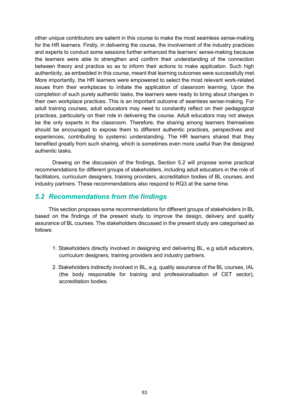other unique contributors are salient in this course to make the most seamless sense-making for the HR learners. Firstly, in delivering the course, the involvement of the industry practices and experts to conduct some sessions further enhanced the learners' sense-making because the learners were able to strengthen and confirm their understanding of the connection between theory and practice so as to inform their actions to make application. Such high authenticity, as embedded in this course, meant that learning outcomes were successfully met. More importantly, the HR learners were empowered to select the most relevant work-related issues from their workplaces to initiate the application of classroom learning. Upon the completion of such purely authentic tasks, the learners were ready to bring about changes in their own workplace practices. This is an important outcome of seamless sense-making. For adult training courses, adult educators may need to constantly reflect on their pedagogical practices, particularly on their role in delivering the course. Adult educators may not always be the only experts in the classroom. Therefore, the sharing among learners themselves should be encouraged to expose them to different authentic practices, perspectives and experiences, contributing to systemic understanding. The HR learners shared that they benefited greatly from such sharing, which is sometimes even more useful than the designed authentic tasks.

Drawing on the discussion of the findings, Section 5.2 will propose some practical recommendations for different groups of stakeholders, including adult educators in the role of facilitators, curriculum designers, training providers, accreditation bodies of BL courses, and industry partners. These recommendations also respond to RQ3 at the same time.

### <span id="page-52-0"></span>*5.2 Recommendations from the findings*

This section proposes some recommendations for different groups of stakeholders in BL based on the findings of the present study to improve the design, delivery and quality assurance of BL courses. The stakeholders discussed in the present study are categorised as follows:

- 1. Stakeholders directly involved in designing and delivering BL, e.g adult educators, curriculum designers, training providers and industry partners.
- 2. Stakeholders indirectly involved in BL, e.g. quality assurance of the BL courses, IAL (the body responsible for training and professionalisation of CET sector), accreditation bodies.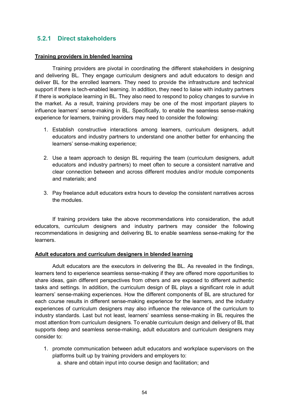# **5.2.1 Direct stakeholders**

#### **Training providers in blended learning**

Training providers are pivotal in coordinating the different stakeholders in designing and delivering BL. They engage curriculum designers and adult educators to design and deliver BL for the enrolled learners. They need to provide the infrastructure and technical support if there is tech-enabled learning. In addition, they need to liaise with industry partners if there is workplace learning in BL. They also need to respond to policy changes to survive in the market. As a result, training providers may be one of the most important players to influence learners' sense-making in BL. Specifically, to enable the seamless sense-making experience for learners, training providers may need to consider the following:

- 1. Establish constructive interactions among learners, curriculum designers, adult educators and industry partners to understand one another better for enhancing the learners' sense-making experience;
- 2. Use a team approach to design BL requiring the team (curriculum designers, adult educators and industry partners) to meet often to secure a consistent narrative and clear connection between and across different modules and/or module components and materials; and
- 3. Pay freelance adult educators extra hours to develop the consistent narratives across the modules.

If training providers take the above recommendations into consideration, the adult educators, curriculum designers and industry partners may consider the following recommendations in designing and delivering BL to enable seamless sense-making for the learners.

#### **Adult educators and curriculum designers in blended learning**

Adult educators are the executors in delivering the BL. As revealed in the findings, learners tend to experience seamless sense-making if they are offered more opportunities to share ideas, gain different perspectives from others and are exposed to different authentic tasks and settings. In addition, the curriculum design of BL plays a significant role in adult learners' sense-making experiences. How the different components of BL are structured for each course results in different sense-making experience for the learners, and the industry experiences of curriculum designers may also influence the relevance of the curriculum to industry standards. Last but not least, learners' seamless sense-making in BL requires the most attention from curriculum designers. To enable curriculum design and delivery of BL that supports deep and seamless sense-making, adult educators and curriculum designers may consider to:

- 1. promote communication between adult educators and workplace supervisors on the platforms built up by training providers and employers to:
	- a. share and obtain input into course design and facilitation; and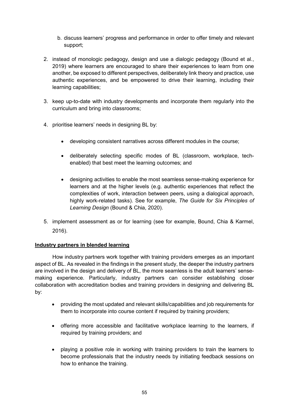- b. discuss learners' progress and performance in order to offer timely and relevant support;
- 2. instead of monologic pedagogy, design and use a dialogic pedagogy (Bound et al., 2019) where learners are encouraged to share their experiences to learn from one another, be exposed to different perspectives, deliberately link theory and practice, use authentic experiences, and be empowered to drive their learning, including their learning capabilities;
- 3. keep up-to-date with industry developments and incorporate them regularly into the curriculum and bring into classrooms;
- 4. prioritise learners' needs in designing BL by:
	- developing consistent narratives across different modules in the course;
	- deliberately selecting specific modes of BL (classroom, workplace, techenabled) that best meet the learning outcomes; and
	- designing activities to enable the most seamless sense-making experience for learners and at the higher levels (e.g. authentic experiences that reflect the complexities of work, interaction between peers, using a dialogical approach, highly work-related tasks). See for example, *The Guide for Six Principles of Learning Design* (Bound & Chia, 2020).
- 5. implement assessment as or for learning (see for example, Bound, Chia & Karmel, 2016).

### **Industry partners in blended learning**

How industry partners work together with training providers emerges as an important aspect of BL. As revealed in the findings in the present study, the deeper the industry partners are involved in the design and delivery of BL, the more seamless is the adult learners' sensemaking experience. Particularly, industry partners can consider establishing closer collaboration with accreditation bodies and training providers in designing and delivering BL by:

- providing the most updated and relevant skills/capabilities and job requirements for them to incorporate into course content if required by training providers;
- offering more accessible and facilitative workplace learning to the learners, if required by training providers; and
- playing a positive role in working with training providers to train the learners to become professionals that the industry needs by initiating feedback sessions on how to enhance the training.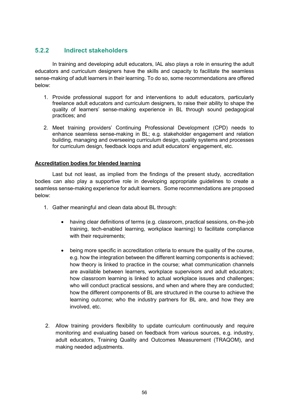# **5.2.2 Indirect stakeholders**

In training and developing adult educators, IAL also plays a role in ensuring the adult educators and curriculum designers have the skills and capacity to facilitate the seamless sense-making of adult learners in their learning. To do so, some recommendations are offered below:

- 1. Provide professional support for and interventions to adult educators, particularly freelance adult educators and curriculum designers, to raise their ability to shape the quality of learners' sense-making experience in BL through sound pedagogical practices; and
- 2. Meet training providers' Continuing Professional Development (CPD) needs to enhance seamless sense-making in BL; e.g. stakeholder engagement and relation building, managing and overseeing curriculum design, quality systems and processes for curriculum design, feedback loops and adult educators' engagement, etc.

### **Accreditation bodies for blended learning**

Last but not least, as implied from the findings of the present study, accreditation bodies can also play a supportive role in developing appropriate guidelines to create a seamless sense-making experience for adult learners. Some recommendations are proposed below:

- 1. Gather meaningful and clean data about BL through:
	- having clear definitions of terms (e.g. classroom, practical sessions, on-the-job training, tech-enabled learning, workplace learning) to facilitate compliance with their requirements;
	- being more specific in accreditation criteria to ensure the quality of the course, e.g. how the integration between the different learning components is achieved; how theory is linked to practice in the course; what communication channels are available between learners, workplace supervisors and adult educators; how classroom learning is linked to actual workplace issues and challenges; who will conduct practical sessions, and when and where they are conducted; how the different components of BL are structured in the course to achieve the learning outcome; who the industry partners for BL are, and how they are involved, etc.
- 2. Allow training providers flexibility to update curriculum continuously and require monitoring and evaluating based on feedback from various sources, e.g. industry, adult educators, Training Quality and Outcomes Measurement (TRAQOM), and making needed adjustments.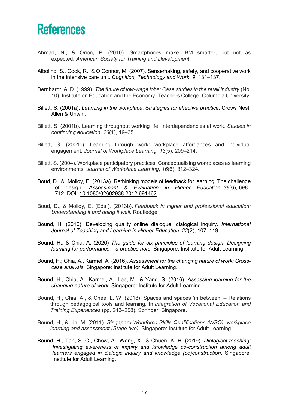# <span id="page-56-0"></span>**References**

- Ahmad, N., & Orion, P. (2010). Smartphones make IBM smarter, but not as expected. *American Society for Training and Development*.
- Albolino, S., Cook, R., & O'Connor, M. (2007). Sensemaking, safety, and cooperative work in the intensive care unit. *Cognition, Technology and Work*, *9*, 131–137.
- Bernhardt, A. D. (1999). *The future of low-wage jobs: Case studies in the retail industry* (No. 10). Institute on Education and the Economy, Teachers College, Columbia University.
- Billett, S. (2001a). *Learning in the workplace*: S*trategies for effective practice*. Crows Nest: Allen & Unwin.
- Billett, S. (2001b). Learning throughout working life: Interdependencies at work. *Studies in continuing education*, *23*(1), 19–35.
- Billett, S. (2001c). Learning through work: workplace affordances and individual engagement. *Journal of Workplace Learning*, *13*(5), 209–214.
- Billett, S. (2004). Workplace participatory practices: Conceptualising workplaces as learning environments. *Journal of Workplace Learning*, *16*(6), 312–324.
- Boud, D., & Molloy, E. (2013a). Rethinking models of feedback for learning: The challenge of design. *Assessment & Evaluation in Higher Education*, *38*(6), 698– 712, DOI: [10.1080/02602938.2012.691462](https://doi.org/10.1080/02602938.2012.691462)
- Boud, D., & Molloy, E. (Eds.). (2013b). *Feedback in higher and professional education: Understanding it and doing it well*. Routledge.
- Bound, H. (2010). Developing quality online dialogue: dialogical inquiry. *International Journal of Teaching and Learning in Higher Education. 22*(2), 107–119.
- Bound, H., & Chia, A. (2020) *The guide for six principles of learning design. Designing learning for performance – a practice note*. Singapore: Institute for Adult Learning.
- Bound, H.; Chia, A., Karmel, A. (2016). *Assessment for the changing nature of work: Crosscase analysis*. Singapore: Institute for Adult Learning.
- Bound, H., Chia, A., Karmel, A., Lee, M., & Yang, S. (2016). *Assessing learning for the changing nature of work*. Singapore: Institute for Adult Learning.
- Bound, H., Chia, A., & Chee, L. W. (2018). Spaces and spaces 'in between' Relations through pedagogical tools and learning. In *Integration of Vocational Education and Training Experiences* (pp. 243–258). Springer, Singapore.
- Bound, H., & Lin, M. (2011). *Singapore Workforce Skills Qualifications (WSQ), workplace learning and assessment (Stage two)*. Singapore: Institute for Adult Learning.
- Bound, H., Tan, S. C., Chow, A., Wang, X., & Chuen, K. H. (2019). *Dialogical teaching: Investigating awareness of inquiry and knowledge co-construction among adult learners engaged in dialogic inquiry and knowledge (co)construction*. Singapore: Institute for Adult Learning.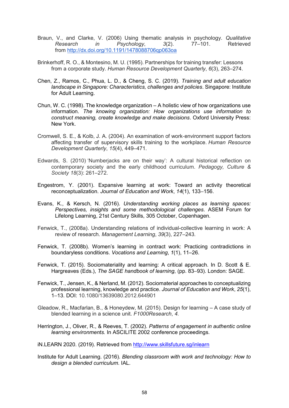- Braun, V., and Clarke, V. (2006) Using thematic analysis in psychology. *Qualitative Research in Psychology*, 3(2). from <http://dx.doi.org/10.1191/1478088706qp063oa>
- Brinkerhoff, R. O., & Montesino, M. U. (1995). Partnerships for training transfer: Lessons from a corporate study. *Human Resource Development Quarterly*, *6*(3), 263–274.
- Chen, Z., Ramos, C., Phua, L. D., & Cheng, S. C. (2019). *Training and adult education landscape in Singapore: Characteristics, challenges and policies*. Singapore: Institute for Adult Learning.
- Chun, W. C. (1998). The knowledge organization A holistic view of how organizations use information. *The knowing organization: How organizations use information to construct meaning, create knowledge and make decisions*. Oxford University Press: New York.
- Cromwell, S. E., & Kolb, J. A. (2004). An examination of work‐environment support factors affecting transfer of supervisory skills training to the workplace. *Human Resource Development Quarterly*, *15*(4), 449–471.
- Edwards, S. (2010) 'Numberjacks are on their way': A cultural historical reflection on contemporary society and the early childhood curriculum. *Pedagogy, Culture & Society 18*(3): 261–272.
- Engestrom, Y. (2001). Expansive learning at work: Toward an activity theoretical reconceptualization. *Journal of Education and Work*, *14*(1), 133–156.
- Evans, K., & Kersch, N. (2016). *Understanding working places as learning spaces: Perspectives, insights and some methodological challenges*. ASEM Forum for Lifelong Learning, 21st Century Skills, 305 October, Copenhagen.
- Fenwick, T., (2008a). Understanding relations of individual-collective learning in work: A review of research. *Management Learning*, *39*(3), 227–243.
- Fenwick, T. (2008b). Women's learning in contract work: Practicing contradictions in boundaryless conditions. *Vocations and Learning*, *1*(1), 11–26.
- Fenwick, T. (2015). Sociomateriality and learning: A critical approach. In D. Scott & E. Hargreaves (Eds.), *The SAGE handbook of learning*, (pp. 83–93). London: SAGE.
- Fenwick, T., Jensen, K., & Nerland, M. (2012). Sociomaterial approaches to conceptualizing professional learning, knowledge and practice. *Journal of Education and Work*, *25*(1), 1–13. DOI: 10.1080/13639080.2012.644901
- Gleadow, R., Macfarlan, B., & Honeydew, M. (2015). Design for learning A case study of blended learning in a science unit. *F1000Research*, *4*.
- Herrington, J., Oliver, R., & Reeves, T. (2002). *Patterns of engagement in authentic online learning environments.* In ASCILITE 2002 conference proceedings.

iN.LEARN 2020. (2019). Retrieved from<http://www.skillsfuture.sg/inlearn>

Institute for Adult Learning. (2016). *Blending classroom with work and technology: How to design a blended curriculum.* IAL.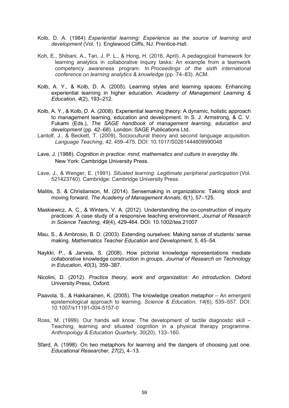- Kolb, D. A. (1984). *Experiential learning: Experience as the source of learning and development* (Vol. 1). Englewood Cliffs, NJ: Prentice-Hall.
- Koh, E., Shibani, A., Tan, J. P. L., & Hong, H. (2016, April). A pedagogical framework for learning analytics in collaborative inquiry tasks: An example from a teamwork competency awareness program. In *Proceedings of the sixth international conference on learning analytics & knowledge* (pp. 74–83). ACM.
- Kolb, A. Y., & Kolb, D. A. (2005). Learning styles and learning spaces: Enhancing experiential learning in higher education. *Academy of Management Learning & Education*, *4*(2), 193–212.
- Kolb, A. Y., & Kolb, D. A. (2008). Experiential learning theory: A dynamic, holistic approach to management learning, education and development. In S. J. Armstrong, & C. V. Fukami (Eds.), *The SAGE handbook of management learning, education and development* (pp. 42–68). London: SAGE Publications Ltd.
- Lantolf, J., & Beckett, T. (2009). Sociocultural theory and second language acquisition. *Language Teaching*, *42*, 459–475. DOI: 10.1017/S0261444809990048
- Lave, J. (1988). *Cognition in practice: mind, mathematics and culture in everyday life*. New York: Cambridge University Press.
- Lave, J., & Wenger, E. (1991). *Situated learning: Legitimate peripheral participation* (Vol. 521423740). Cambridge: Cambridge University Press.
- Malitis, S. & Christianson, M. (2014). Sensemaking in organizations: Taking stock and moving forward. *The Academy of Management Annals*, *6*(1), 57–125.
- Maskiewicz, A. C., & Winters, V. A. (2012). Understanding the co-construction of inquiry practices: A case study of a responsive teaching environment. *Journal of Research in Science Teaching*, *49*(4), 429-464. DOI: 10.1002/tea.21007
- Mau, S., & Ambrosio, B. D. (2003). Extending ourselves: Making sense of students' sense making. *Mathematics Teacher Education and Development*, *5*, 45–54.
- Naykki, P., & Jarvela, S. (2008). How pictorial knowledge representations mediate collaborative knowledge construction in groups. *Journal of Research on Technology in Education*, *40*(3), 359–387.
- Nicolini, D. (2012). *Practice theory, work and organization: An introduction.* Oxford University Press, Oxford.
- Paavola, S., & Hakkarainen, K. (2005). The knowledge creation metaphor An emergent epistemological approach to learning. *Science & Education, 14*(6), 535–557. DOI: 10.1007/s11191-004-5157-0
- Ross, M. (1999). Our hands will know: The development of tactile diagnostic skill Teaching, learning and situated cognition in a physical therapy programme. *Anthropology & Education Quarterly, 30*(20), 133–160.
- Sfard, A. (1998). On two metaphors for learning and the dangers of choosing just one. *Educational Researcher, 27*(2), 4–13.